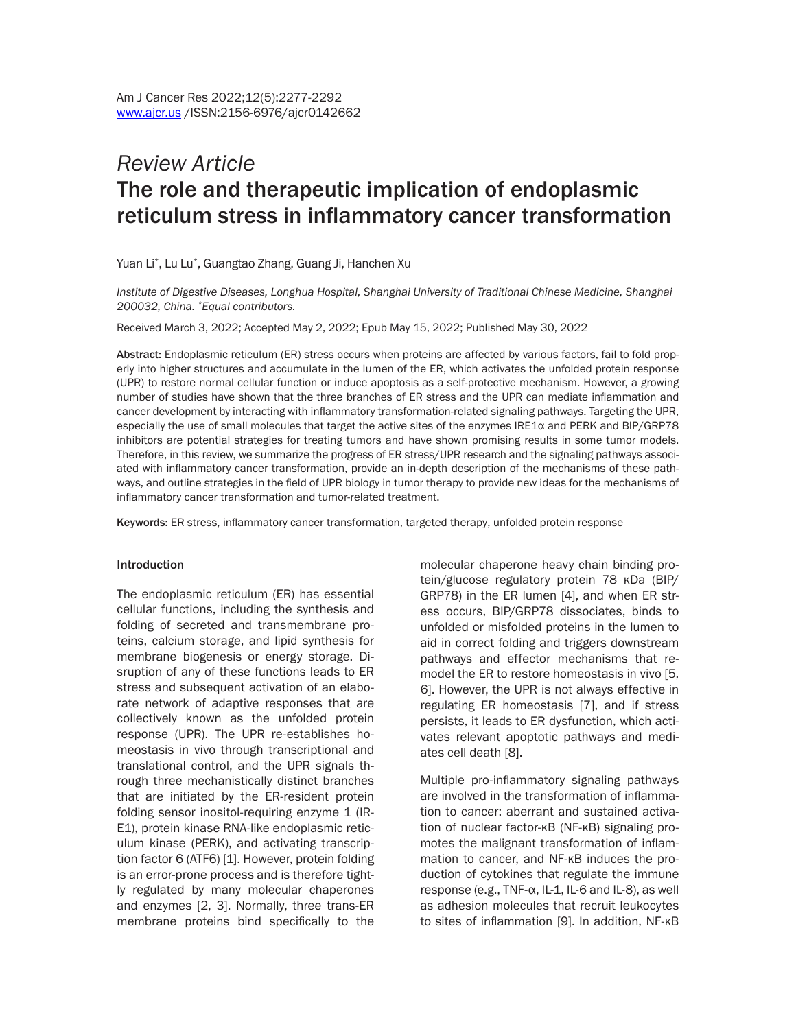# *Review Article* The role and therapeutic implication of endoplasmic reticulum stress in inflammatory cancer transformation

Yuan Li\* , Lu Lu\* , Guangtao Zhang, Guang Ji, Hanchen Xu

*Institute of Digestive Diseases, Longhua Hospital, Shanghai University of Traditional Chinese Medicine, Shanghai 200032, China. \*Equal contributors.*

Received March 3, 2022; Accepted May 2, 2022; Epub May 15, 2022; Published May 30, 2022

Abstract: Endoplasmic reticulum (ER) stress occurs when proteins are affected by various factors, fail to fold properly into higher structures and accumulate in the lumen of the ER, which activates the unfolded protein response (UPR) to restore normal cellular function or induce apoptosis as a self-protective mechanism. However, a growing number of studies have shown that the three branches of ER stress and the UPR can mediate inflammation and cancer development by interacting with inflammatory transformation-related signaling pathways. Targeting the UPR, especially the use of small molecules that target the active sites of the enzymes IRE1α and PERK and BIP/GRP78 inhibitors are potential strategies for treating tumors and have shown promising results in some tumor models. Therefore, in this review, we summarize the progress of ER stress/UPR research and the signaling pathways associated with inflammatory cancer transformation, provide an in-depth description of the mechanisms of these pathways, and outline strategies in the field of UPR biology in tumor therapy to provide new ideas for the mechanisms of inflammatory cancer transformation and tumor-related treatment.

Keywords: ER stress, inflammatory cancer transformation, targeted therapy, unfolded protein response

#### Introduction

The endoplasmic reticulum (ER) has essential cellular functions, including the synthesis and folding of secreted and transmembrane proteins, calcium storage, and lipid synthesis for membrane biogenesis or energy storage. Disruption of any of these functions leads to ER stress and subsequent activation of an elaborate network of adaptive responses that are collectively known as the unfolded protein response (UPR). The UPR re-establishes homeostasis in vivo through transcriptional and translational control, and the UPR signals through three mechanistically distinct branches that are initiated by the ER-resident protein folding sensor inositol-requiring enzyme 1 (IR-E1), protein kinase RNA-like endoplasmic reticulum kinase (PERK), and activating transcription factor 6 (ATF6) [1]. However, protein folding is an error-prone process and is therefore tightly regulated by many molecular chaperones and enzymes [2, 3]. Normally, three trans-ER membrane proteins bind specifically to the

molecular chaperone heavy chain binding protein/glucose regulatory protein 78 κDa (BIP/ GRP78) in the ER lumen [4], and when ER stress occurs, BIP/GRP78 dissociates, binds to unfolded or misfolded proteins in the lumen to aid in correct folding and triggers downstream pathways and effector mechanisms that remodel the ER to restore homeostasis in vivo [5, 6]. However, the UPR is not always effective in regulating ER homeostasis [7], and if stress persists, it leads to ER dysfunction, which activates relevant apoptotic pathways and mediates cell death [8].

Multiple pro-inflammatory signaling pathways are involved in the transformation of inflammation to cancer: aberrant and sustained activation of nuclear factor-κB (NF-κB) signaling promotes the malignant transformation of inflammation to cancer, and NF-κB induces the production of cytokines that regulate the immune response (e.g., TNF- $α$ , IL-1, IL-6 and IL-8), as well as adhesion molecules that recruit leukocytes to sites of inflammation [9]. In addition, NF-κB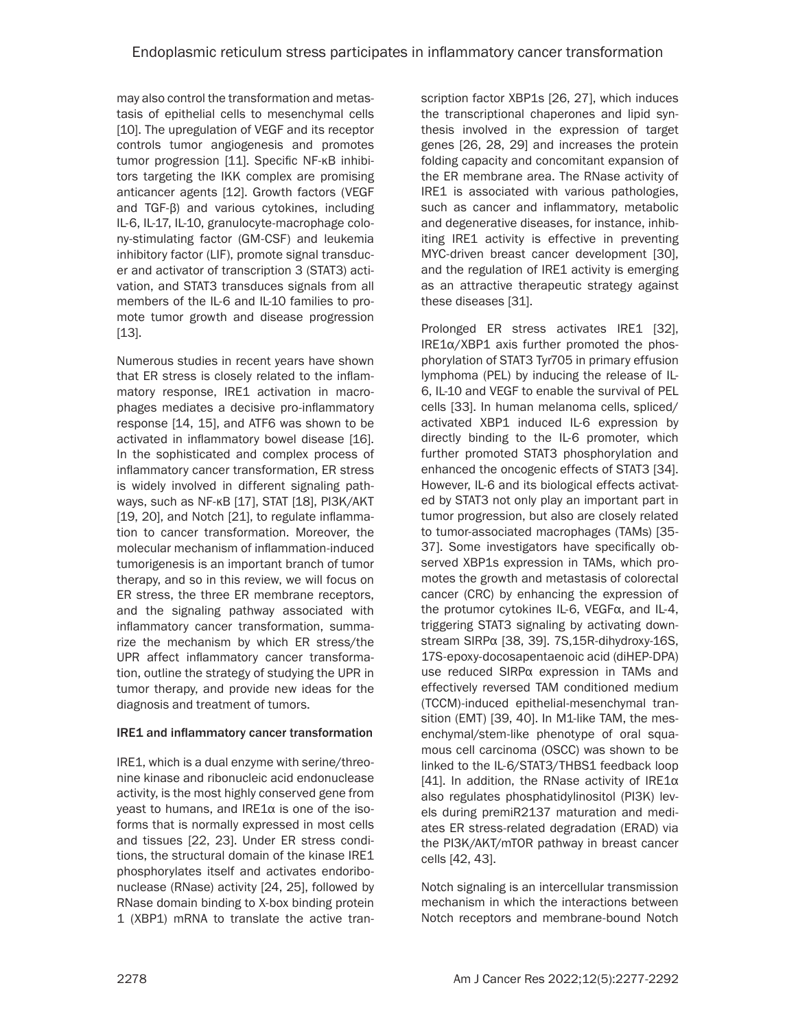may also control the transformation and metastasis of epithelial cells to mesenchymal cells [10]. The upregulation of VEGF and its receptor controls tumor angiogenesis and promotes tumor progression [11]. Specific NF-κB inhibitors targeting the IKK complex are promising anticancer agents [12]. Growth factors (VEGF and TGF-β) and various cytokines, including IL-6, IL-17, IL-10, granulocyte-macrophage colony-stimulating factor (GM-CSF) and leukemia inhibitory factor (LIF), promote signal transducer and activator of transcription 3 (STAT3) activation, and STAT3 transduces signals from all members of the IL-6 and IL-10 families to promote tumor growth and disease progression [13].

Numerous studies in recent years have shown that ER stress is closely related to the inflammatory response, IRE1 activation in macrophages mediates a decisive pro-inflammatory response [14, 15], and ATF6 was shown to be activated in inflammatory bowel disease [16]. In the sophisticated and complex process of inflammatory cancer transformation, ER stress is widely involved in different signaling pathways, such as NF-κB [17], STAT [18], PI3K/AKT [19, 20], and Notch [21], to regulate inflammation to cancer transformation. Moreover, the molecular mechanism of inflammation-induced tumorigenesis is an important branch of tumor therapy, and so in this review, we will focus on ER stress, the three ER membrane receptors, and the signaling pathway associated with inflammatory cancer transformation, summarize the mechanism by which ER stress/the UPR affect inflammatory cancer transformation, outline the strategy of studying the UPR in tumor therapy, and provide new ideas for the diagnosis and treatment of tumors.

## IRE1 and inflammatory cancer transformation

IRE1, which is a dual enzyme with serine/threonine kinase and ribonucleic acid endonuclease activity, is the most highly conserved gene from yeast to humans, and IRE1α is one of the isoforms that is normally expressed in most cells and tissues [22, 23]. Under ER stress conditions, the structural domain of the kinase IRE1 phosphorylates itself and activates endoribonuclease (RNase) activity [24, 25], followed by RNase domain binding to X-box binding protein 1 (XBP1) mRNA to translate the active tran-

scription factor XBP1s [26, 27], which induces the transcriptional chaperones and lipid synthesis involved in the expression of target genes [26, 28, 29] and increases the protein folding capacity and concomitant expansion of the ER membrane area. The RNase activity of IRE1 is associated with various pathologies, such as cancer and inflammatory, metabolic and degenerative diseases, for instance, inhibiting IRE1 activity is effective in preventing MYC-driven breast cancer development [30], and the regulation of IRE1 activity is emerging as an attractive therapeutic strategy against these diseases [31].

Prolonged ER stress activates IRE1 [32],  $IRE1\alpha/XBP1$  axis further promoted the phosphorylation of STAT3 Tyr705 in primary effusion lymphoma (PEL) by inducing the release of IL-6, IL-10 and VEGF to enable the survival of PEL cells [33]. In human melanoma cells, spliced/ activated XBP1 induced IL-6 expression by directly binding to the IL-6 promoter, which further promoted STAT3 phosphorylation and enhanced the oncogenic effects of STAT3 [34]. However, IL-6 and its biological effects activated by STAT3 not only play an important part in tumor progression, but also are closely related to tumor-associated macrophages (TAMs) [35- 37]. Some investigators have specifically observed XBP1s expression in TAMs, which promotes the growth and metastasis of colorectal cancer (CRC) by enhancing the expression of the protumor cytokines IL-6, VEGFα, and IL-4, triggering STAT3 signaling by activating downstream SIRPα [38, 39]. 7S,15R-dihydroxy-16S, 17S-epoxy-docosapentaenoic acid (diHEP-DPA) use reduced SIRPα expression in TAMs and effectively reversed TAM conditioned medium (TCCM)-induced epithelial-mesenchymal transition (EMT) [39, 40]. In M1-like TAM, the mesenchymal/stem-like phenotype of oral squamous cell carcinoma (OSCC) was shown to be linked to the IL-6/STAT3/THBS1 feedback loop [41]. In addition, the RNase activity of IRE1 $\alpha$ also regulates phosphatidylinositol (PI3K) levels during premiR2137 maturation and mediates ER stress-related degradation (ERAD) via the PI3K/AKT/mTOR pathway in breast cancer cells [42, 43].

Notch signaling is an intercellular transmission mechanism in which the interactions between Notch receptors and membrane-bound Notch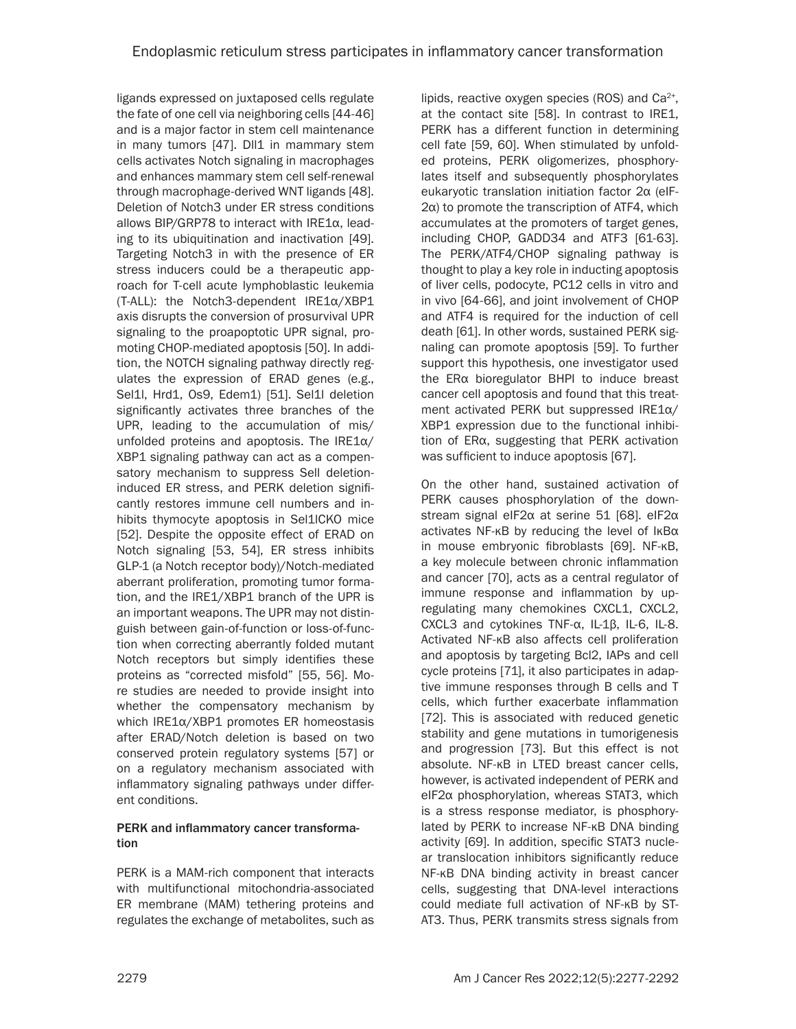ligands expressed on juxtaposed cells regulate the fate of one cell via neighboring cells [44-46] and is a major factor in stem cell maintenance in many tumors [47]. Dll1 in mammary stem cells activates Notch signaling in macrophages and enhances mammary stem cell self-renewal through macrophage-derived WNT ligands [48]. Deletion of Notch3 under ER stress conditions allows BIP/GRP78 to interact with IRE1α, leading to its ubiquitination and inactivation [49]. Targeting Notch3 in with the presence of ER stress inducers could be a therapeutic approach for T-cell acute lymphoblastic leukemia (T-ALL): the Notch3-dependent IRE1α/XBP1 axis disrupts the conversion of prosurvival UPR signaling to the proapoptotic UPR signal, promoting CHOP-mediated apoptosis [50]. In addition, the NOTCH signaling pathway directly regulates the expression of ERAD genes (e.g., Sel1l, Hrd1, Os9, Edem1) [51]. Sel1l deletion significantly activates three branches of the UPR, leading to the accumulation of mis/ unfolded proteins and apoptosis. The IRE $1\alpha$ / XBP1 signaling pathway can act as a compensatory mechanism to suppress Sell deletioninduced ER stress, and PERK deletion significantly restores immune cell numbers and inhibits thymocyte apoptosis in Sel1lCKO mice [52]. Despite the opposite effect of ERAD on Notch signaling [53, 54], ER stress inhibits GLP-1 (a Notch receptor body)/Notch-mediated aberrant proliferation, promoting tumor formation, and the IRE1/XBP1 branch of the UPR is an important weapons. The UPR may not distinguish between gain-of-function or loss-of-function when correcting aberrantly folded mutant Notch receptors but simply identifies these proteins as "corrected misfold" [55, 56]. More studies are needed to provide insight into whether the compensatory mechanism by which IRE1α/XBP1 promotes ER homeostasis after ERAD/Notch deletion is based on two conserved protein regulatory systems [57] or on a regulatory mechanism associated with inflammatory signaling pathways under different conditions.

## PERK and inflammatory cancer transformation

PERK is a MAM-rich component that interacts with multifunctional mitochondria-associated ER membrane (MAM) tethering proteins and regulates the exchange of metabolites, such as

lipids, reactive oxygen species (ROS) and  $Ca<sup>2+</sup>$ , at the contact site [58]. In contrast to IRE1, PERK has a different function in determining cell fate [59, 60]. When stimulated by unfolded proteins, PERK oligomerizes, phosphorylates itself and subsequently phosphorylates eukaryotic translation initiation factor 2α (eIF-2α) to promote the transcription of ATF4, which accumulates at the promoters of target genes, including CHOP, GADD34 and ATF3 [61-63]. The PERK/ATF4/CHOP signaling pathway is thought to play a key role in inducting apoptosis of liver cells, podocyte, PC12 cells in vitro and in vivo [64-66], and joint involvement of CHOP and ATF4 is required for the induction of cell death [61]. In other words, sustained PERK signaling can promote apoptosis [59]. To further support this hypothesis, one investigator used the ERα bioregulator BHPI to induce breast cancer cell apoptosis and found that this treatment activated PERK but suppressed IRE1α/ XBP1 expression due to the functional inhibition of ERα, suggesting that PERK activation was sufficient to induce apoptosis [67].

On the other hand, sustained activation of PERK causes phosphorylation of the downstream signal eIF2α at serine 51 [68]. eIF2α activates NF-κB by reducing the level of IκBα in mouse embryonic fibroblasts [69]. NF-κB, a key molecule between chronic inflammation and cancer [70], acts as a central regulator of immune response and inflammation by upregulating many chemokines CXCL1, CXCL2, CXCL3 and cytokines TNF-α, IL-1β, IL-6, IL-8. Activated NF-κB also affects cell proliferation and apoptosis by targeting Bcl2, IAPs and cell cycle proteins [71], it also participates in adaptive immune responses through B cells and T cells, which further exacerbate inflammation [72]. This is associated with reduced genetic stability and gene mutations in tumorigenesis and progression [73]. But this effect is not absolute. NF-κB in LTED breast cancer cells, however, is activated independent of PERK and eIF2α phosphorylation, whereas STAT3, which is a stress response mediator, is phosphorylated by PERK to increase NF-κB DNA binding activity [69]. In addition, specific STAT3 nuclear translocation inhibitors significantly reduce NF-κB DNA binding activity in breast cancer cells, suggesting that DNA-level interactions could mediate full activation of NF-κB by ST-AT3. Thus, PERK transmits stress signals from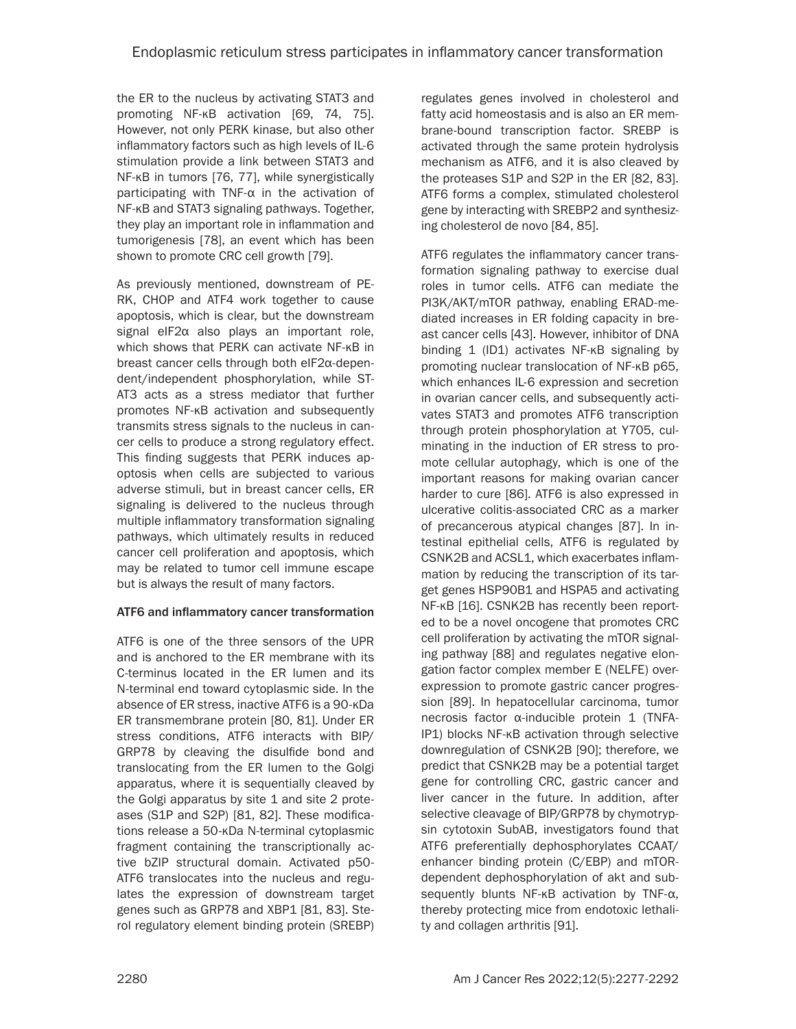the ER to the nucleus by activating STAT3 and promoting NF-κB activation [69, 74, 75]. However, not only PERK kinase, but also other inflammatory factors such as high levels of IL-6 stimulation provide a link between STAT3 and NF-κB in tumors [76, 77], while synergistically participating with TNF-α in the activation of NF-κB and STAT3 signaling pathways. Together, they play an important role in inflammation and tumorigenesis [78], an event which has been shown to promote CRC cell growth [79].

As previously mentioned, downstream of PE-RK, CHOP and ATF4 work together to cause apoptosis, which is clear, but the downstream signal eIF2α also plays an important role, which shows that PERK can activate NF-κB in breast cancer cells through both eIF2α-dependent/independent phosphorylation, while ST-AT3 acts as a stress mediator that further promotes NF-κB activation and subsequently transmits stress signals to the nucleus in cancer cells to produce a strong regulatory effect. This finding suggests that PERK induces apoptosis when cells are subjected to various adverse stimuli, but in breast cancer cells, ER signaling is delivered to the nucleus through multiple inflammatory transformation signaling pathways, which ultimately results in reduced cancer cell proliferation and apoptosis, which may be related to tumor cell immune escape but is always the result of many factors.

## ATF6 and inflammatory cancer transformation

ATF6 is one of the three sensors of the UPR and is anchored to the ER membrane with its C-terminus located in the ER lumen and its N-terminal end toward cytoplasmic side. In the absence of ER stress, inactive ATF6 is a 90-κDa ER transmembrane protein [80, 81]. Under ER stress conditions, ATF6 interacts with BIP/ GRP78 by cleaving the disulfide bond and translocating from the ER lumen to the Golgi apparatus, where it is sequentially cleaved by the Golgi apparatus by site 1 and site 2 proteases (S1P and S2P) [81, 82]. These modifications release a 50-κDa N-terminal cytoplasmic fragment containing the transcriptionally active bZIP structural domain. Activated p50- ATF6 translocates into the nucleus and regulates the expression of downstream target genes such as GRP78 and XBP1 [81, 83]. Sterol regulatory element binding protein (SREBP)

regulates genes involved in cholesterol and fatty acid homeostasis and is also an ER membrane-bound transcription factor. SREBP is activated through the same protein hydrolysis mechanism as ATF6, and it is also cleaved by the proteases S1P and S2P in the ER [82, 83]. ATF6 forms a complex, stimulated cholesterol gene by interacting with SREBP2 and synthesizing cholesterol de novo [84, 85].

ATF6 regulates the inflammatory cancer transformation signaling pathway to exercise dual roles in tumor cells. ATF6 can mediate the PI3K/AKT/mTOR pathway, enabling ERAD-mediated increases in ER folding capacity in breast cancer cells [43]. However, inhibitor of DNA binding 1 (ID1) activates NF-κB signaling by promoting nuclear translocation of NF-κB p65, which enhances IL-6 expression and secretion in ovarian cancer cells, and subsequently activates STAT3 and promotes ATF6 transcription through protein phosphorylation at Y705, culminating in the induction of ER stress to promote cellular autophagy, which is one of the important reasons for making ovarian cancer harder to cure [86]. ATF6 is also expressed in ulcerative colitis-associated CRC as a marker of precancerous atypical changes [87]. In intestinal epithelial cells, ATF6 is regulated by CSNK2B and ACSL1, which exacerbates inflammation by reducing the transcription of its target genes HSP90B1 and HSPA5 and activating NF-κB [16]. CSNK2B has recently been reported to be a novel oncogene that promotes CRC cell proliferation by activating the mTOR signaling pathway [88] and regulates negative elongation factor complex member E (NELFE) overexpression to promote gastric cancer progression [89]. In hepatocellular carcinoma, tumor necrosis factor α-inducible protein 1 (TNFA-IP1) blocks NF-κB activation through selective downregulation of CSNK2B [90]; therefore, we predict that CSNK2B may be a potential target gene for controlling CRC, gastric cancer and liver cancer in the future. In addition, after selective cleavage of BIP/GRP78 by chymotrypsin cytotoxin SubAB, investigators found that ATF6 preferentially dephosphorylates CCAAT/ enhancer binding protein (C/EBP) and mTORdependent dephosphorylation of akt and subsequently blunts NF-κB activation by TNF-α, thereby protecting mice from endotoxic lethality and collagen arthritis [91].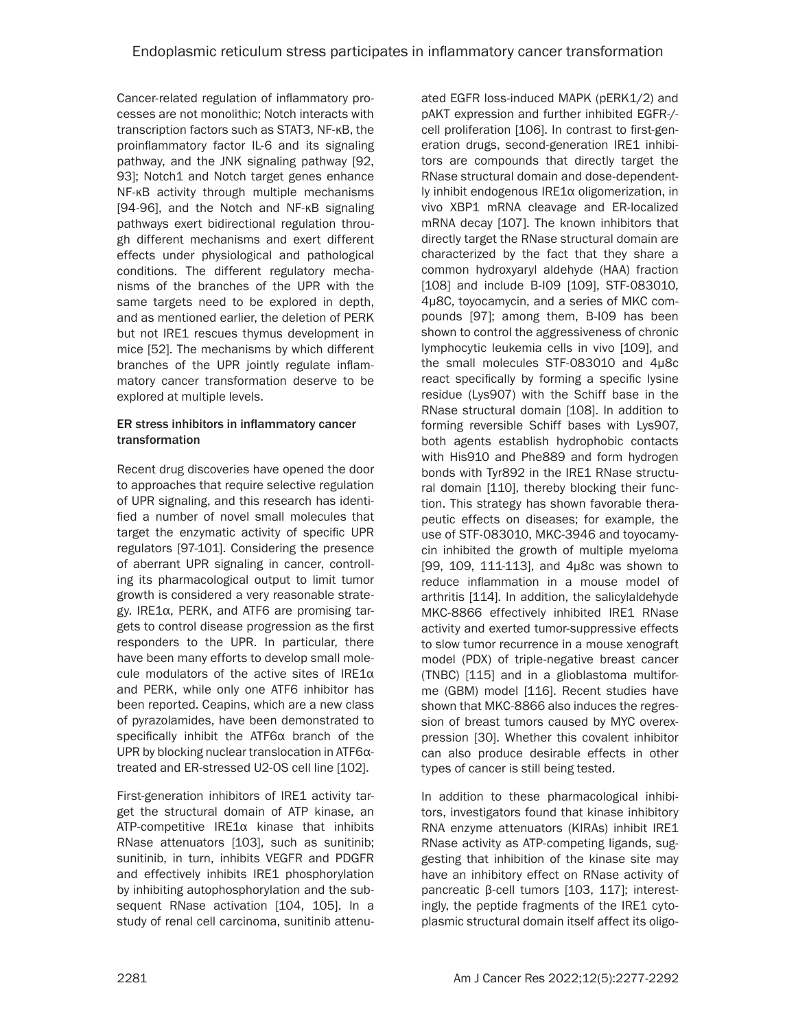Cancer-related regulation of inflammatory processes are not monolithic; Notch interacts with transcription factors such as STAT3, NF-κB, the proinflammatory factor IL-6 and its signaling pathway, and the JNK signaling pathway [92, 93]; Notch1 and Notch target genes enhance NF-κB activity through multiple mechanisms [94-96], and the Notch and NF-κB signaling pathways exert bidirectional regulation through different mechanisms and exert different effects under physiological and pathological conditions. The different regulatory mechanisms of the branches of the UPR with the same targets need to be explored in depth, and as mentioned earlier, the deletion of PERK but not IRE1 rescues thymus development in mice [52]. The mechanisms by which different branches of the UPR jointly regulate inflammatory cancer transformation deserve to be explored at multiple levels.

## ER stress inhibitors in inflammatory cancer transformation

Recent drug discoveries have opened the door to approaches that require selective regulation of UPR signaling, and this research has identified a number of novel small molecules that target the enzymatic activity of specific UPR regulators [97-101]. Considering the presence of aberrant UPR signaling in cancer, controlling its pharmacological output to limit tumor growth is considered a very reasonable strategy. IRE1α, PERK, and ATF6 are promising targets to control disease progression as the first responders to the UPR. In particular, there have been many efforts to develop small molecule modulators of the active sites of IRE1α and PERK, while only one ATF6 inhibitor has been reported. Ceapins, which are a new class of pyrazolamides, have been demonstrated to specifically inhibit the ATF6α branch of the UPR by blocking nuclear translocation in ATF6αtreated and ER-stressed U2-OS cell line [102].

First-generation inhibitors of IRE1 activity target the structural domain of ATP kinase, an ATP-competitive IRE1α kinase that inhibits RNase attenuators [103], such as sunitinib; sunitinib, in turn, inhibits VEGFR and PDGFR and effectively inhibits IRE1 phosphorylation by inhibiting autophosphorylation and the subsequent RNase activation [104, 105]. In a study of renal cell carcinoma, sunitinib attenuated EGFR loss-induced MAPK (pERK1/2) and pAKT expression and further inhibited EGFR-/ cell proliferation [106]. In contrast to first-generation drugs, second-generation IRE1 inhibitors are compounds that directly target the RNase structural domain and dose-dependently inhibit endogenous IRE1α oligomerization, in vivo XBP1 mRNA cleavage and ER-localized mRNA decay [107]. The known inhibitors that directly target the RNase structural domain are characterized by the fact that they share a common hydroxyaryl aldehyde (HAA) fraction [108] and include B-I09 [109], STF-083010, 4μ8C, toyocamycin, and a series of MKC compounds [97]; among them, B-I09 has been shown to control the aggressiveness of chronic lymphocytic leukemia cells in vivo [109], and the small molecules STF-083010 and 4μ8c react specifically by forming a specific lysine residue (Lys907) with the Schiff base in the RNase structural domain [108]. In addition to forming reversible Schiff bases with Lys907, both agents establish hydrophobic contacts with His910 and Phe889 and form hydrogen bonds with Tyr892 in the IRE1 RNase structural domain [110], thereby blocking their function. This strategy has shown favorable therapeutic effects on diseases; for example, the use of STF-083010, MKC-3946 and toyocamycin inhibited the growth of multiple myeloma [99, 109, 111-113], and 4μ8c was shown to reduce inflammation in a mouse model of arthritis [114]. In addition, the salicylaldehyde MKC-8866 effectively inhibited IRE1 RNase activity and exerted tumor-suppressive effects to slow tumor recurrence in a mouse xenograft model (PDX) of triple-negative breast cancer (TNBC) [115] and in a glioblastoma multiforme (GBM) model [116]. Recent studies have shown that MKC-8866 also induces the regression of breast tumors caused by MYC overexpression [30]. Whether this covalent inhibitor can also produce desirable effects in other types of cancer is still being tested.

In addition to these pharmacological inhibitors, investigators found that kinase inhibitory RNA enzyme attenuators (KIRAs) inhibit IRE1 RNase activity as ATP-competing ligands, suggesting that inhibition of the kinase site may have an inhibitory effect on RNase activity of pancreatic β-cell tumors [103, 117]; interestingly, the peptide fragments of the IRE1 cytoplasmic structural domain itself affect its oligo-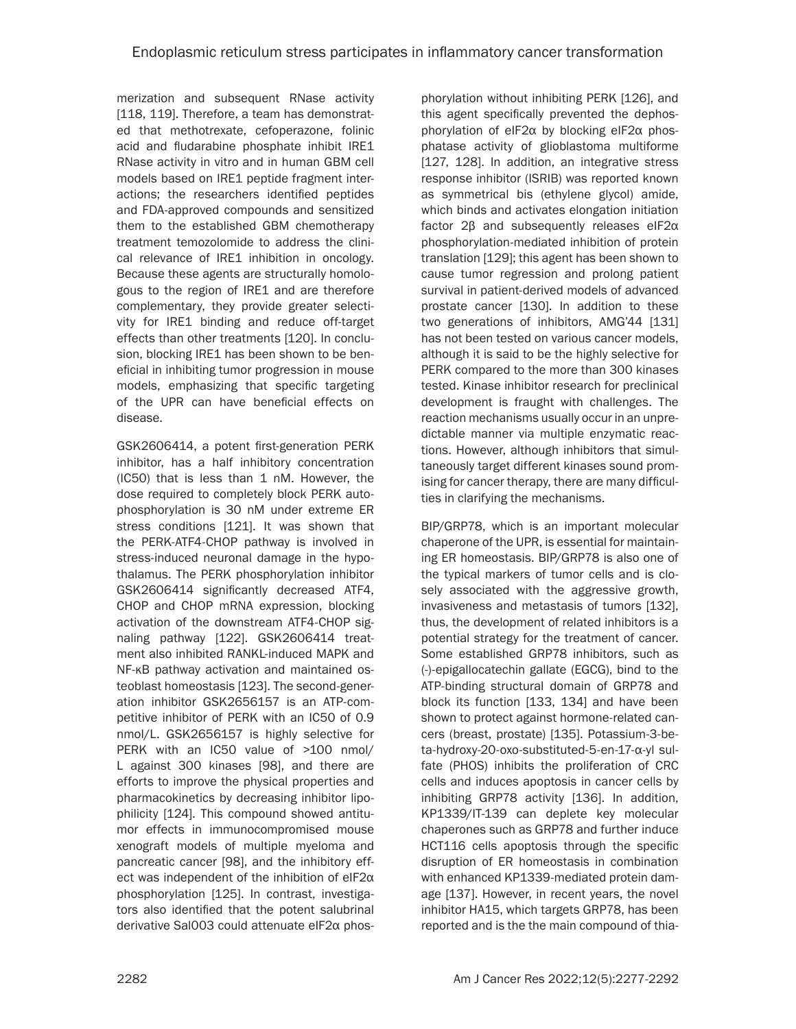merization and subsequent RNase activity [118, 119]. Therefore, a team has demonstrated that methotrexate, cefoperazone, folinic acid and fludarabine phosphate inhibit IRE1 RNase activity in vitro and in human GBM cell models based on IRE1 peptide fragment interactions; the researchers identified peptides and FDA-approved compounds and sensitized them to the established GBM chemotherapy treatment temozolomide to address the clinical relevance of IRE1 inhibition in oncology. Because these agents are structurally homologous to the region of IRE1 and are therefore complementary, they provide greater selectivity for IRE1 binding and reduce off-target effects than other treatments [120]. In conclusion, blocking IRE1 has been shown to be beneficial in inhibiting tumor progression in mouse models, emphasizing that specific targeting of the UPR can have beneficial effects on disease.

GSK2606414, a potent first-generation PERK inhibitor, has a half inhibitory concentration (IC50) that is less than 1 nM. However, the dose required to completely block PERK autophosphorylation is 30 nM under extreme ER stress conditions [121]. It was shown that the PERK-ATF4-CHOP pathway is involved in stress-induced neuronal damage in the hypothalamus. The PERK phosphorylation inhibitor GSK2606414 significantly decreased ATF4, CHOP and CHOP mRNA expression, blocking activation of the downstream ATF4-CHOP signaling pathway [122]. GSK2606414 treatment also inhibited RANKL-induced MAPK and NF-κB pathway activation and maintained osteoblast homeostasis [123]. The second-generation inhibitor GSK2656157 is an ATP-competitive inhibitor of PERK with an IC50 of 0.9 nmol/L. GSK2656157 is highly selective for PERK with an IC50 value of >100 nmol/ L against 300 kinases [98], and there are efforts to improve the physical properties and pharmacokinetics by decreasing inhibitor lipophilicity [124]. This compound showed antitumor effects in immunocompromised mouse xenograft models of multiple myeloma and pancreatic cancer [98], and the inhibitory effect was independent of the inhibition of eIF2α phosphorylation [125]. In contrast, investigators also identified that the potent salubrinal derivative Sal003 could attenuate eIF2α phosphorylation without inhibiting PERK [126], and this agent specifically prevented the dephosphorylation of eIF2α by blocking eIF2α phosphatase activity of glioblastoma multiforme [127, 128]. In addition, an integrative stress response inhibitor (ISRIB) was reported known as symmetrical bis (ethylene glycol) amide, which binds and activates elongation initiation factor 2β and subsequently releases eIF2α phosphorylation-mediated inhibition of protein translation [129]; this agent has been shown to cause tumor regression and prolong patient survival in patient-derived models of advanced prostate cancer [130]. In addition to these two generations of inhibitors, AMG'44 [131] has not been tested on various cancer models, although it is said to be the highly selective for PERK compared to the more than 300 kinases tested. Kinase inhibitor research for preclinical development is fraught with challenges. The reaction mechanisms usually occur in an unpredictable manner via multiple enzymatic reactions. However, although inhibitors that simultaneously target different kinases sound promising for cancer therapy, there are many difficulties in clarifying the mechanisms.

BIP/GRP78, which is an important molecular chaperone of the UPR, is essential for maintaining ER homeostasis. BIP/GRP78 is also one of the typical markers of tumor cells and is closely associated with the aggressive growth, invasiveness and metastasis of tumors [132], thus, the development of related inhibitors is a potential strategy for the treatment of cancer. Some established GRP78 inhibitors, such as (-)-epigallocatechin gallate (EGCG), bind to the ATP-binding structural domain of GRP78 and block its function [133, 134] and have been shown to protect against hormone-related cancers (breast, prostate) [135]. Potassium-3-beta-hydroxy-20-oxo-substituted-5-en-17-α-yl sulfate (PHOS) inhibits the proliferation of CRC cells and induces apoptosis in cancer cells by inhibiting GRP78 activity [136]. In addition, KP1339/IT-139 can deplete key molecular chaperones such as GRP78 and further induce HCT116 cells apoptosis through the specific disruption of ER homeostasis in combination with enhanced KP1339-mediated protein damage [137]. However, in recent years, the novel inhibitor HA15, which targets GRP78, has been reported and is the the main compound of thia-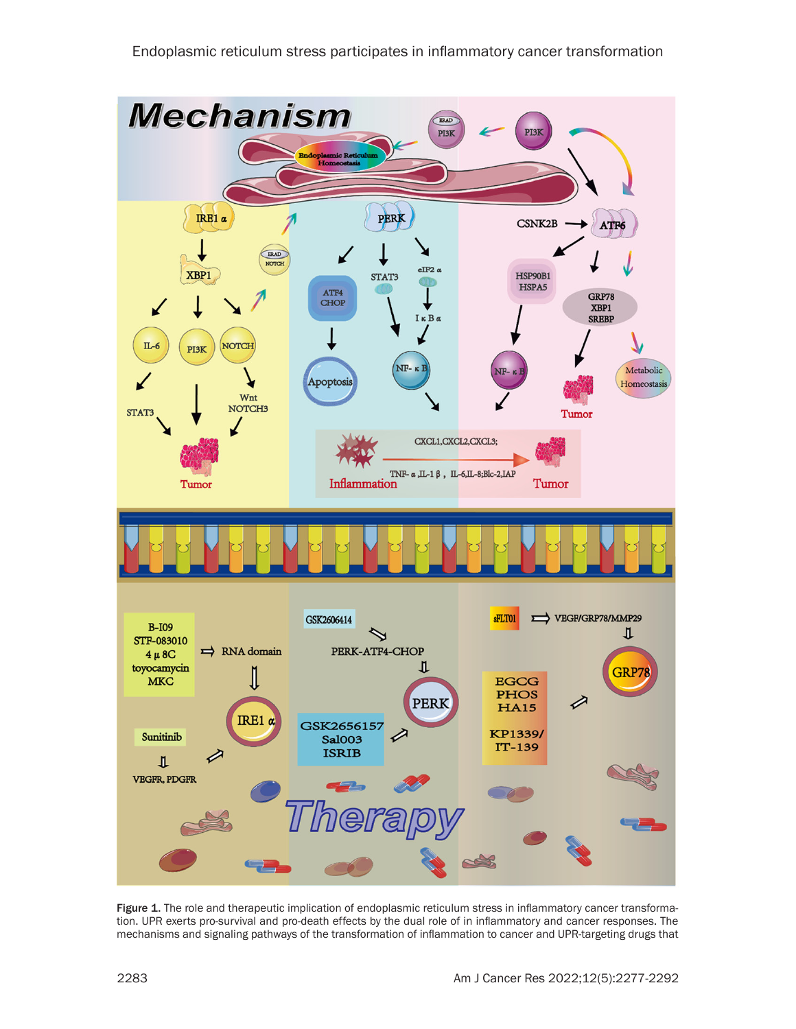

Figure 1. The role and therapeutic implication of endoplasmic reticulum stress in inflammatory cancer transformation. UPR exerts pro-survival and pro-death effects by the dual role of in inflammatory and cancer responses. The mechanisms and signaling pathways of the transformation of inflammation to cancer and UPR-targeting drugs that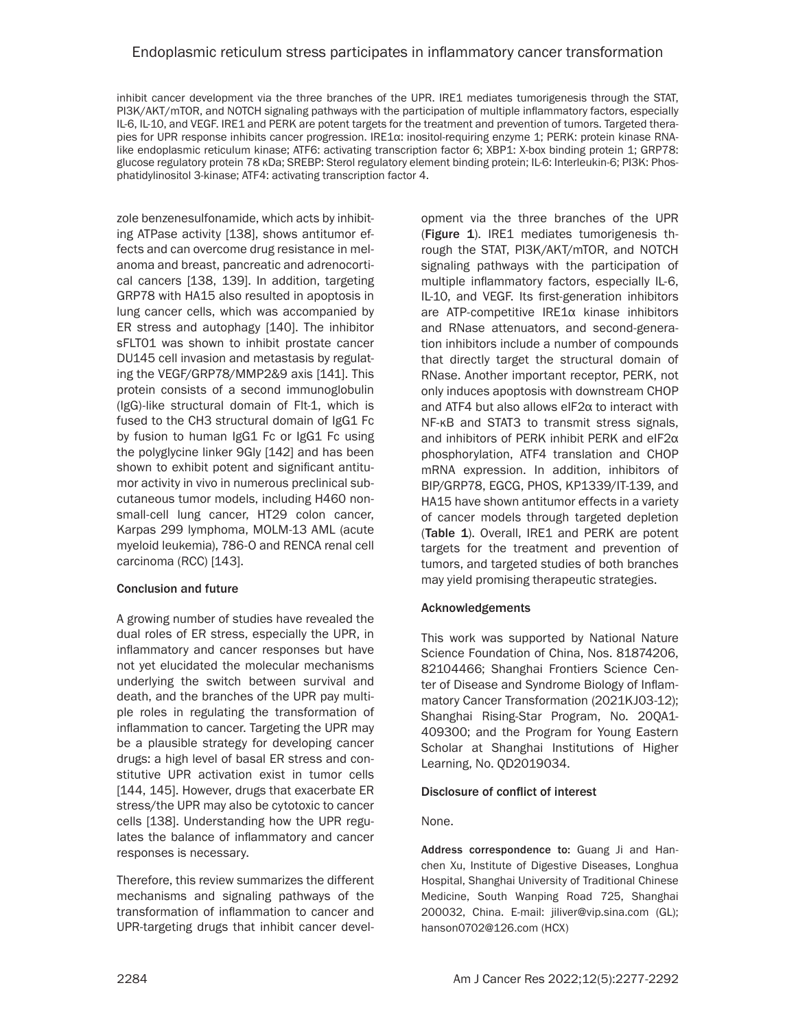## Endoplasmic reticulum stress participates in inflammatory cancer transformation

inhibit cancer development via the three branches of the UPR. IRE1 mediates tumorigenesis through the STAT, PI3K/AKT/mTOR, and NOTCH signaling pathways with the participation of multiple inflammatory factors, especially IL-6, IL-10, and VEGF. IRE1 and PERK are potent targets for the treatment and prevention of tumors. Targeted therapies for UPR response inhibits cancer progression. IRE1α: inositol-requiring enzyme 1; PERK: protein kinase RNAlike endoplasmic reticulum kinase; ATF6: activating transcription factor 6; XBP1: X-box binding protein 1; GRP78: glucose regulatory protein 78 κDa; SREBP: Sterol regulatory element binding protein; IL-6: Interleukin-6; PI3K: Phosphatidylinositol 3-kinase; ATF4: activating transcription factor 4.

zole benzenesulfonamide, which acts by inhibiting ATPase activity [138], shows antitumor effects and can overcome drug resistance in melanoma and breast, pancreatic and adrenocortical cancers [138, 139]. In addition, targeting GRP78 with HA15 also resulted in apoptosis in lung cancer cells, which was accompanied by ER stress and autophagy [140]. The inhibitor sFLT01 was shown to inhibit prostate cancer DU145 cell invasion and metastasis by regulating the VEGF/GRP78/MMP2&9 axis [141]. This protein consists of a second immunoglobulin (IgG)-like structural domain of Flt-1, which is fused to the CH3 structural domain of IgG1 Fc by fusion to human IgG1 Fc or IgG1 Fc using the polyglycine linker 9Gly [142] and has been shown to exhibit potent and significant antitumor activity in vivo in numerous preclinical subcutaneous tumor models, including H460 nonsmall-cell lung cancer, HT29 colon cancer, Karpas 299 lymphoma, MOLM-13 AML (acute myeloid leukemia), 786-O and RENCA renal cell carcinoma (RCC) [143].

### Conclusion and future

A growing number of studies have revealed the dual roles of ER stress, especially the UPR, in inflammatory and cancer responses but have not yet elucidated the molecular mechanisms underlying the switch between survival and death, and the branches of the UPR pay multiple roles in regulating the transformation of inflammation to cancer. Targeting the UPR may be a plausible strategy for developing cancer drugs: a high level of basal ER stress and constitutive UPR activation exist in tumor cells [144, 145]. However, drugs that exacerbate ER stress/the UPR may also be cytotoxic to cancer cells [138]. Understanding how the UPR regulates the balance of inflammatory and cancer responses is necessary.

Therefore, this review summarizes the different mechanisms and signaling pathways of the transformation of inflammation to cancer and UPR-targeting drugs that inhibit cancer development via the three branches of the UPR (Figure 1). IRE1 mediates tumorigenesis through the STAT, PI3K/AKT/mTOR, and NOTCH signaling pathways with the participation of multiple inflammatory factors, especially IL-6, IL-10, and VEGF. Its first-generation inhibitors are ATP-competitive IRE1α kinase inhibitors and RNase attenuators, and second-generation inhibitors include a number of compounds that directly target the structural domain of RNase. Another important receptor, PERK, not only induces apoptosis with downstream CHOP and ATF4 but also allows eIF2α to interact with NF-κB and STAT3 to transmit stress signals, and inhibitors of PERK inhibit PERK and eIF2α phosphorylation, ATF4 translation and CHOP mRNA expression. In addition, inhibitors of BIP/GRP78, EGCG, PHOS, KP1339/IT-139, and HA15 have shown antitumor effects in a variety of cancer models through targeted depletion (Table 1). Overall, IRE1 and PERK are potent targets for the treatment and prevention of tumors, and targeted studies of both branches may yield promising therapeutic strategies.

### Acknowledgements

This work was supported by National Nature Science Foundation of China, Nos. 81874206, 82104466; Shanghai Frontiers Science Center of Disease and Syndrome Biology of Inflammatory Cancer Transformation (2021KJ03-12); Shanghai Rising-Star Program, No. 20QA1- 409300; and the Program for Young Eastern Scholar at Shanghai Institutions of Higher Learning, No. QD2019034.

### Disclosure of conflict of interest

### None.

Address correspondence to: Guang Ji and Hanchen Xu, Institute of Digestive Diseases, Longhua Hospital, Shanghai University of Traditional Chinese Medicine, South Wanping Road 725, Shanghai 200032, China. E-mail: [jiliver@vip.sina.com](mailto:jiliver@vip.sina.com) (GL); [hanson0702@126.com](mailto:hanson0702@126.com) (HCX)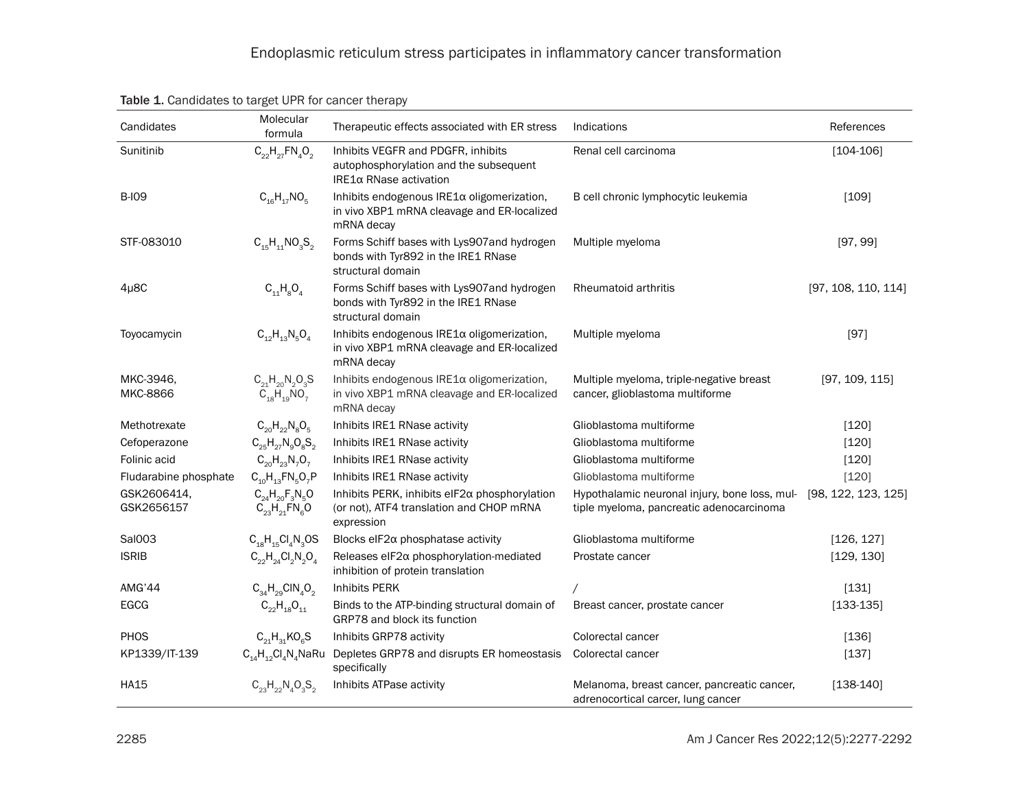| Candidates                | Molecular<br>formula                                                         | Therapeutic effects associated with ER stress                                                           | Indications                                                                               | References          |
|---------------------------|------------------------------------------------------------------------------|---------------------------------------------------------------------------------------------------------|-------------------------------------------------------------------------------------------|---------------------|
| Sunitinib                 | $C_{22}H_{27}FN_{4}O_{2}$                                                    | Inhibits VEGFR and PDGFR, inhibits<br>autophosphorylation and the subsequent<br>IRE1α RNase activation  | Renal cell carcinoma                                                                      | $[104-106]$         |
| <b>B-IO9</b>              | $C_{16}H_{17}NO_{5}$                                                         | Inhibits endogenous IRE1a oligomerization,<br>in vivo XBP1 mRNA cleavage and ER-localized<br>mRNA decay | B cell chronic lymphocytic leukemia                                                       | [109]               |
| STF-083010                | $C_{15}H_{11}NO_3S_2$                                                        | Forms Schiff bases with Lys907 and hydrogen<br>bonds with Tyr892 in the IRE1 RNase<br>structural domain | Multiple myeloma                                                                          | [97, 99]            |
| $4\mu$ <sub>8</sub> C     | $C_{11}H_8O_4$                                                               | Forms Schiff bases with Lys907 and hydrogen<br>bonds with Tyr892 in the IRE1 RNase<br>structural domain | Rheumatoid arthritis                                                                      | [97, 108, 110, 114] |
| Toyocamycin               | $C_{12}H_{13}N_5O_4$                                                         | Inhibits endogenous IRE1a oligomerization,<br>in vivo XBP1 mRNA cleavage and ER-localized<br>mRNA decay | Multiple myeloma                                                                          | [97]                |
| MKC-3946.<br>MKC-8866     | $C_{21}H_{20}N_2O_3S$<br>$\ddot{C}_{18}$ $\ddot{H}_{19}$ $\ddot{N}\dot{O}_7$ | Inhibits endogenous IRE1a oligomerization,<br>in vivo XBP1 mRNA cleavage and ER-localized<br>mRNA decay | Multiple myeloma, triple-negative breast<br>cancer, glioblastoma multiforme               | [97, 109, 115]      |
| Methotrexate              | $C_{20}H_{22}N_8O_5$                                                         | Inhibits IRE1 RNase activity                                                                            | Glioblastoma multiforme                                                                   | [120]               |
| Cefoperazone              | $C_{25}H_{27}N_{9}O_{8}S_{2}$                                                | Inhibits IRE1 RNase activity                                                                            | Glioblastoma multiforme                                                                   | [120]               |
| Folinic acid              | $C_{20}H_{23}N_7O_7$                                                         | Inhibits IRE1 RNase activity                                                                            | Glioblastoma multiforme                                                                   | [120]               |
| Fludarabine phosphate     | $C_{10}H_{13}FN_5O_7P$                                                       | Inhibits IRE1 RNase activity                                                                            | Glioblastoma multiforme                                                                   | [120]               |
| GSK2606414,<br>GSK2656157 | $C_{24}H_{20}F_{3}N_{5}O$<br>$C_{23}H_{21}$ FN <sub>e</sub> O                | Inhibits PERK, inhibits eIF2a phosphorylation<br>(or not), ATF4 translation and CHOP mRNA<br>expression | Hypothalamic neuronal injury, bone loss, mul-<br>tiple myeloma, pancreatic adenocarcinoma | [98, 122, 123, 125] |
| Sal003                    | $C_{18}H_{15}Cl_4N_3OS$                                                      | Blocks eIF2 $\alpha$ phosphatase activity                                                               | Glioblastoma multiforme                                                                   | [126, 127]          |
| <b>ISRIB</b>              | $C_{22}H_{24}Cl_{2}N_{2}O_{4}$                                               | Releases eIF2 $\alpha$ phosphorylation-mediated<br>inhibition of protein translation                    | Prostate cancer                                                                           | [129, 130]          |
| AMG'44                    | $C_{34}H_{29}CIN_4O_2$                                                       | <b>Inhibits PERK</b>                                                                                    |                                                                                           | [131]               |
| <b>EGCG</b>               | $C_{22}H_{18}O_{11}$                                                         | Binds to the ATP-binding structural domain of<br>GRP78 and block its function                           | Breast cancer, prostate cancer                                                            | $[133-135]$         |
| PHOS                      | $C_{21}H_{31}KO_{6}S$                                                        | Inhibits GRP78 activity                                                                                 | Colorectal cancer                                                                         | [136]               |
| KP1339/IT-139             | $C_{14}H_{12}Cl_4N_4$ NaRu                                                   | Depletes GRP78 and disrupts ER homeostasis<br>specifically                                              | Colorectal cancer                                                                         | $[137]$             |
| <b>HA15</b>               | $C_{23}H_{22}N_{4}O_{3}S_{2}$                                                | Inhibits ATPase activity                                                                                | Melanoma, breast cancer, pancreatic cancer,<br>adrenocortical carcer, lung cancer         | $[138-140]$         |

Table 1. Candidates to target UPR for cancer therapy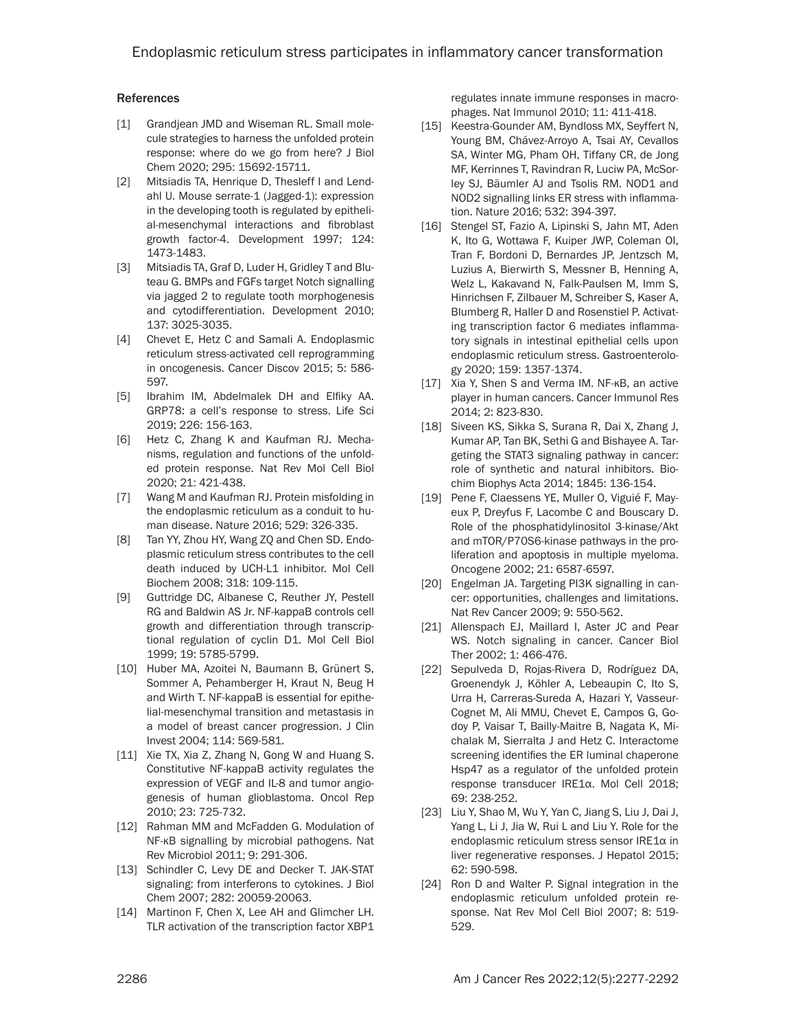### **References**

- [1] Grandjean JMD and Wiseman RL. Small molecule strategies to harness the unfolded protein response: where do we go from here? J Biol Chem 2020; 295: 15692-15711.
- [2] Mitsiadis TA, Henrique D, Thesleff I and Lendahl U. Mouse serrate-1 (Jagged-1): expression in the developing tooth is regulated by epithelial-mesenchymal interactions and fibroblast growth factor-4. Development 1997; 124: 1473-1483.
- [3] Mitsiadis TA, Graf D, Luder H, Gridley T and Bluteau G. BMPs and FGFs target Notch signalling via jagged 2 to regulate tooth morphogenesis and cytodifferentiation. Development 2010; 137: 3025-3035.
- [4] Chevet E, Hetz C and Samali A. Endoplasmic reticulum stress-activated cell reprogramming in oncogenesis. Cancer Discov 2015; 5: 586- 597.
- [5] Ibrahim IM, Abdelmalek DH and Elfiky AA. GRP78: a cell's response to stress. Life Sci 2019; 226: 156-163.
- [6] Hetz C, Zhang K and Kaufman RJ. Mechanisms, regulation and functions of the unfolded protein response. Nat Rev Mol Cell Biol 2020; 21: 421-438.
- [7] Wang M and Kaufman RJ. Protein misfolding in the endoplasmic reticulum as a conduit to human disease. Nature 2016; 529: 326-335.
- [8] Tan YY, Zhou HY, Wang ZQ and Chen SD. Endoplasmic reticulum stress contributes to the cell death induced by UCH-L1 inhibitor. Mol Cell Biochem 2008; 318: 109-115.
- [9] Guttridge DC, Albanese C, Reuther JY, Pestell RG and Baldwin AS Jr. NF-kappaB controls cell growth and differentiation through transcriptional regulation of cyclin D1. Mol Cell Biol 1999; 19: 5785-5799.
- [10] Huber MA, Azoitei N, Baumann B, Grünert S, Sommer A, Pehamberger H, Kraut N, Beug H and Wirth T. NF-kappaB is essential for epithelial-mesenchymal transition and metastasis in a model of breast cancer progression. J Clin Invest 2004; 114: 569-581.
- [11] Xie TX, Xia Z, Zhang N, Gong W and Huang S. Constitutive NF-kappaB activity regulates the expression of VEGF and IL-8 and tumor angiogenesis of human glioblastoma. Oncol Rep 2010; 23: 725-732.
- [12] Rahman MM and McFadden G. Modulation of NF-κB signalling by microbial pathogens. Nat Rev Microbiol 2011; 9: 291-306.
- [13] Schindler C, Levy DE and Decker T. JAK-STAT signaling: from interferons to cytokines. J Biol Chem 2007; 282: 20059-20063.
- [14] Martinon F, Chen X, Lee AH and Glimcher LH. TLR activation of the transcription factor XBP1

regulates innate immune responses in macrophages. Nat Immunol 2010; 11: 411-418.

- [15] Keestra-Gounder AM, Byndloss MX, Seyffert N, Young BM, Chávez-Arroyo A, Tsai AY, Cevallos SA, Winter MG, Pham OH, Tiffany CR, de Jong MF, Kerrinnes T, Ravindran R, Luciw PA, McSorley SJ, Bäumler AJ and Tsolis RM. NOD1 and NOD2 signalling links ER stress with inflammation. Nature 2016; 532: 394-397.
- [16] Stengel ST, Fazio A, Lipinski S, Jahn MT, Aden K, Ito G, Wottawa F, Kuiper JWP, Coleman OI, Tran F, Bordoni D, Bernardes JP, Jentzsch M, Luzius A, Bierwirth S, Messner B, Henning A, Welz L, Kakavand N, Falk-Paulsen M, Imm S, Hinrichsen F, Zilbauer M, Schreiber S, Kaser A, Blumberg R, Haller D and Rosenstiel P. Activating transcription factor 6 mediates inflammatory signals in intestinal epithelial cells upon endoplasmic reticulum stress. Gastroenterology 2020; 159: 1357-1374.
- [17] Xia Y, Shen S and Verma IM. NF-κB, an active player in human cancers. Cancer Immunol Res 2014; 2: 823-830.
- [18] Siveen KS, Sikka S, Surana R, Dai X, Zhang J, Kumar AP, Tan BK, Sethi G and Bishayee A. Targeting the STAT3 signaling pathway in cancer: role of synthetic and natural inhibitors. Biochim Biophys Acta 2014; 1845: 136-154.
- [19] Pene F, Claessens YE, Muller O, Viguié F, Mayeux P, Dreyfus F, Lacombe C and Bouscary D. Role of the phosphatidylinositol 3-kinase/Akt and mTOR/P70S6-kinase pathways in the proliferation and apoptosis in multiple myeloma. Oncogene 2002; 21: 6587-6597.
- [20] Engelman JA. Targeting PI3K signalling in cancer: opportunities, challenges and limitations. Nat Rev Cancer 2009; 9: 550-562.
- [21] Allenspach EJ, Maillard I, Aster JC and Pear WS. Notch signaling in cancer. Cancer Biol Ther 2002; 1: 466-476.
- [22] Sepulveda D, Rojas-Rivera D, Rodríguez DA, Groenendyk J, Köhler A, Lebeaupin C, Ito S, Urra H, Carreras-Sureda A, Hazari Y, Vasseur-Cognet M, Ali MMU, Chevet E, Campos G, Godoy P, Vaisar T, Bailly-Maitre B, Nagata K, Michalak M, Sierralta J and Hetz C. Interactome screening identifies the ER luminal chaperone Hsp47 as a regulator of the unfolded protein response transducer IRE1α. Mol Cell 2018; 69: 238-252.
- [23] Liu Y, Shao M, Wu Y, Yan C, Jiang S, Liu J, Dai J, Yang L, Li J, Jia W, Rui L and Liu Y. Role for the endoplasmic reticulum stress sensor IRE1α in liver regenerative responses. J Hepatol 2015; 62: 590-598.
- [24] Ron D and Walter P. Signal integration in the endoplasmic reticulum unfolded protein response. Nat Rev Mol Cell Biol 2007; 8: 519- 529.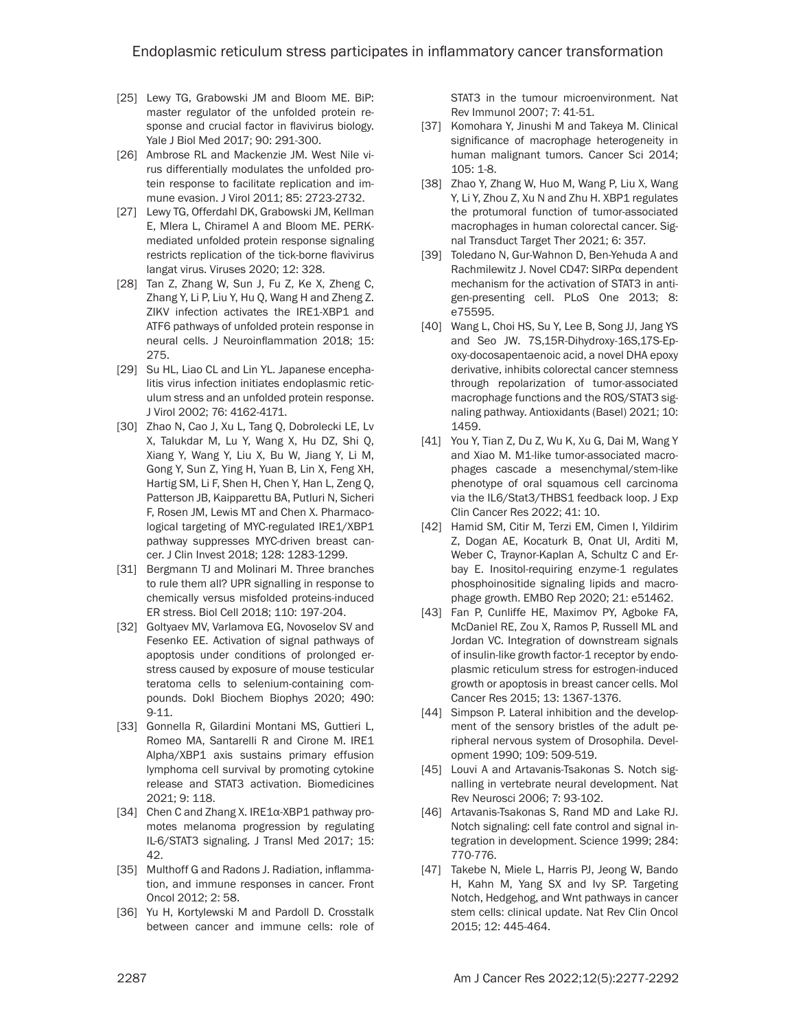- [25] Lewy TG, Grabowski JM and Bloom ME. BiP: master regulator of the unfolded protein response and crucial factor in flavivirus biology. Yale J Biol Med 2017; 90: 291-300.
- [26] Ambrose RL and Mackenzie JM. West Nile virus differentially modulates the unfolded protein response to facilitate replication and immune evasion. J Virol 2011; 85: 2723-2732.
- [27] Lewy TG, Offerdahl DK, Grabowski JM, Kellman E, Mlera L, Chiramel A and Bloom ME. PERKmediated unfolded protein response signaling restricts replication of the tick-borne flavivirus langat virus. Viruses 2020; 12: 328.
- [28] Tan Z, Zhang W, Sun J, Fu Z, Ke X, Zheng C, Zhang Y, Li P, Liu Y, Hu Q, Wang H and Zheng Z. ZIKV infection activates the IRE1-XBP1 and ATF6 pathways of unfolded protein response in neural cells. J Neuroinflammation 2018; 15: 275.
- [29] Su HL, Liao CL and Lin YL. Japanese encephalitis virus infection initiates endoplasmic reticulum stress and an unfolded protein response. J Virol 2002; 76: 4162-4171.
- [30] Zhao N, Cao J, Xu L, Tang Q, Dobrolecki LE, Lv X, Talukdar M, Lu Y, Wang X, Hu DZ, Shi Q, Xiang Y, Wang Y, Liu X, Bu W, Jiang Y, Li M, Gong Y, Sun Z, Ying H, Yuan B, Lin X, Feng XH, Hartig SM, Li F, Shen H, Chen Y, Han L, Zeng Q, Patterson JB, Kaipparettu BA, Putluri N, Sicheri F, Rosen JM, Lewis MT and Chen X. Pharmacological targeting of MYC-regulated IRE1/XBP1 pathway suppresses MYC-driven breast cancer. J Clin Invest 2018; 128: 1283-1299.
- [31] Bergmann TJ and Molinari M. Three branches to rule them all? UPR signalling in response to chemically versus misfolded proteins-induced ER stress. Biol Cell 2018; 110: 197-204.
- [32] Goltyaev MV, Varlamova EG, Novoselov SV and Fesenko EE. Activation of signal pathways of apoptosis under conditions of prolonged erstress caused by exposure of mouse testicular teratoma cells to selenium-containing compounds. Dokl Biochem Biophys 2020; 490: 9-11.
- [33] Gonnella R, Gilardini Montani MS, Guttieri L, Romeo MA, Santarelli R and Cirone M. IRE1 Alpha/XBP1 axis sustains primary effusion lymphoma cell survival by promoting cytokine release and STAT3 activation. Biomedicines 2021; 9: 118.
- [34] Chen C and Zhang X. IRE1α-XBP1 pathway promotes melanoma progression by regulating IL-6/STAT3 signaling. J Transl Med 2017; 15: 42.
- [35] Multhoff G and Radons J. Radiation, inflammation, and immune responses in cancer. Front Oncol 2012; 2: 58.
- [36] Yu H, Kortylewski M and Pardoll D. Crosstalk between cancer and immune cells: role of

STAT3 in the tumour microenvironment. Nat Rev Immunol 2007; 7: 41-51.

- [37] Komohara Y, Jinushi M and Takeya M. Clinical significance of macrophage heterogeneity in human malignant tumors. Cancer Sci 2014; 105: 1-8.
- [38] Zhao Y, Zhang W, Huo M, Wang P, Liu X, Wang Y, Li Y, Zhou Z, Xu N and Zhu H. XBP1 regulates the protumoral function of tumor-associated macrophages in human colorectal cancer. Signal Transduct Target Ther 2021; 6: 357.
- [39] Toledano N, Gur-Wahnon D, Ben-Yehuda A and Rachmilewitz J. Novel CD47: SIRPα dependent mechanism for the activation of STAT3 in antigen-presenting cell. PLoS One 2013; 8: e75595.
- [40] Wang L, Choi HS, Su Y, Lee B, Song JJ, Jang YS and Seo JW. 7S,15R-Dihydroxy-16S,17S-Epoxy-docosapentaenoic acid, a novel DHA epoxy derivative, inhibits colorectal cancer stemness through repolarization of tumor-associated macrophage functions and the ROS/STAT3 signaling pathway. Antioxidants (Basel) 2021; 10: 1459.
- [41] You Y, Tian Z, Du Z, Wu K, Xu G, Dai M, Wang Y and Xiao M. M1-like tumor-associated macrophages cascade a mesenchymal/stem-like phenotype of oral squamous cell carcinoma via the IL6/Stat3/THBS1 feedback loop. J Exp Clin Cancer Res 2022; 41: 10.
- [42] Hamid SM, Citir M, Terzi EM, Cimen I, Yildirim Z, Dogan AE, Kocaturk B, Onat UI, Arditi M, Weber C, Traynor-Kaplan A, Schultz C and Erbay E. Inositol-requiring enzyme-1 regulates phosphoinositide signaling lipids and macrophage growth. EMBO Rep 2020; 21: e51462.
- [43] Fan P, Cunliffe HE, Maximov PY, Agboke FA, McDaniel RE, Zou X, Ramos P, Russell ML and Jordan VC. Integration of downstream signals of insulin-like growth factor-1 receptor by endoplasmic reticulum stress for estrogen-induced growth or apoptosis in breast cancer cells. Mol Cancer Res 2015; 13: 1367-1376.
- [44] Simpson P. Lateral inhibition and the development of the sensory bristles of the adult peripheral nervous system of Drosophila. Development 1990; 109: 509-519.
- [45] Louvi A and Artavanis-Tsakonas S. Notch signalling in vertebrate neural development. Nat Rev Neurosci 2006; 7: 93-102.
- [46] Artavanis-Tsakonas S, Rand MD and Lake RJ. Notch signaling: cell fate control and signal integration in development. Science 1999; 284: 770-776.
- [47] Takebe N, Miele L, Harris PJ, Jeong W, Bando H, Kahn M, Yang SX and Ivy SP. Targeting Notch, Hedgehog, and Wnt pathways in cancer stem cells: clinical update. Nat Rev Clin Oncol 2015; 12: 445-464.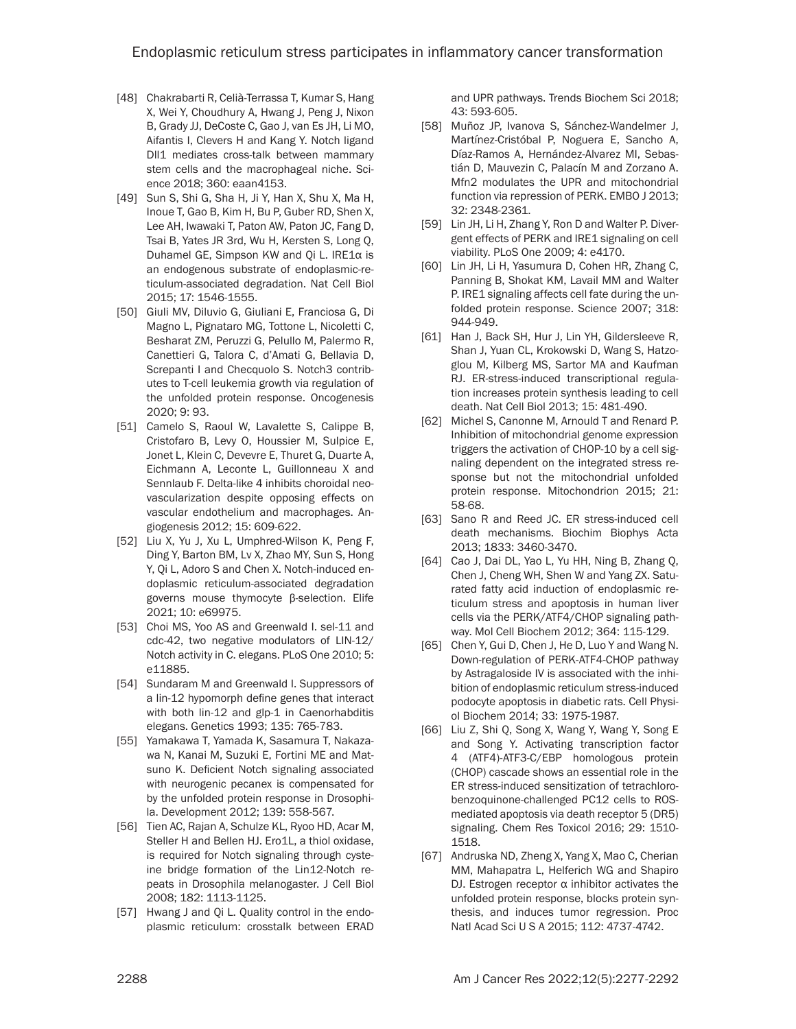- [48] Chakrabarti R, Celià-Terrassa T, Kumar S, Hang X, Wei Y, Choudhury A, Hwang J, Peng J, Nixon B, Grady JJ, DeCoste C, Gao J, van Es JH, Li MO, Aifantis I, Clevers H and Kang Y. Notch ligand Dll1 mediates cross-talk between mammary stem cells and the macrophageal niche. Science 2018; 360: eaan4153.
- [49] Sun S, Shi G, Sha H, Ji Y, Han X, Shu X, Ma H, Inoue T, Gao B, Kim H, Bu P, Guber RD, Shen X, Lee AH, Iwawaki T, Paton AW, Paton JC, Fang D, Tsai B, Yates JR 3rd, Wu H, Kersten S, Long Q, Duhamel GE, Simpson KW and Qi L. IRE1α is an endogenous substrate of endoplasmic-reticulum-associated degradation. Nat Cell Biol 2015; 17: 1546-1555.
- [50] Giuli MV, Diluvio G, Giuliani E, Franciosa G, Di Magno L, Pignataro MG, Tottone L, Nicoletti C, Besharat ZM, Peruzzi G, Pelullo M, Palermo R, Canettieri G, Talora C, d'Amati G, Bellavia D, Screpanti I and Checquolo S. Notch3 contributes to T-cell leukemia growth via regulation of the unfolded protein response. Oncogenesis 2020; 9: 93.
- [51] Camelo S, Raoul W, Lavalette S, Calippe B, Cristofaro B, Levy O, Houssier M, Sulpice E, Jonet L, Klein C, Devevre E, Thuret G, Duarte A, Eichmann A, Leconte L, Guillonneau X and Sennlaub F. Delta-like 4 inhibits choroidal neovascularization despite opposing effects on vascular endothelium and macrophages. Angiogenesis 2012; 15: 609-622.
- [52] Liu X, Yu J, Xu L, Umphred-Wilson K, Peng F, Ding Y, Barton BM, Lv X, Zhao MY, Sun S, Hong Y, Qi L, Adoro S and Chen X. Notch-induced endoplasmic reticulum-associated degradation governs mouse thymocyte β-selection. Elife 2021; 10: e69975.
- [53] Choi MS, Yoo AS and Greenwald I. sel-11 and cdc-42, two negative modulators of LIN-12/ Notch activity in C. elegans. PLoS One 2010; 5: e11885.
- [54] Sundaram M and Greenwald I. Suppressors of a lin-12 hypomorph define genes that interact with both lin-12 and glp-1 in Caenorhabditis elegans. Genetics 1993; 135: 765-783.
- [55] Yamakawa T, Yamada K, Sasamura T, Nakazawa N, Kanai M, Suzuki E, Fortini ME and Matsuno K. Deficient Notch signaling associated with neurogenic pecanex is compensated for by the unfolded protein response in Drosophila. Development 2012; 139: 558-567.
- [56] Tien AC, Rajan A, Schulze KL, Ryoo HD, Acar M, Steller H and Bellen HJ. Ero1L, a thiol oxidase, is required for Notch signaling through cysteine bridge formation of the Lin12-Notch repeats in Drosophila melanogaster. J Cell Biol 2008; 182: 1113-1125.
- [57] Hwang J and Qi L. Quality control in the endoplasmic reticulum: crosstalk between ERAD

and UPR pathways. Trends Biochem Sci 2018; 43: 593-605.

- [58] Muñoz JP, Ivanova S, Sánchez-Wandelmer J, Martínez-Cristóbal P, Noguera E, Sancho A, Díaz-Ramos A, Hernández-Alvarez MI, Sebastián D, Mauvezin C, Palacín M and Zorzano A. Mfn2 modulates the UPR and mitochondrial function via repression of PERK. EMBO J 2013; 32: 2348-2361.
- [59] Lin JH, Li H, Zhang Y, Ron D and Walter P. Divergent effects of PERK and IRE1 signaling on cell viability. PLoS One 2009; 4: e4170.
- [60] Lin JH, Li H, Yasumura D, Cohen HR, Zhang C, Panning B, Shokat KM, Lavail MM and Walter P. IRE1 signaling affects cell fate during the unfolded protein response. Science 2007; 318: 944-949.
- [61] Han J, Back SH, Hur J, Lin YH, Gildersleeve R, Shan J, Yuan CL, Krokowski D, Wang S, Hatzoglou M, Kilberg MS, Sartor MA and Kaufman RJ. ER-stress-induced transcriptional regulation increases protein synthesis leading to cell death. Nat Cell Biol 2013; 15: 481-490.
- [62] Michel S, Canonne M, Arnould T and Renard P. Inhibition of mitochondrial genome expression triggers the activation of CHOP-10 by a cell signaling dependent on the integrated stress response but not the mitochondrial unfolded protein response. Mitochondrion 2015; 21: 58-68.
- [63] Sano R and Reed JC. ER stress-induced cell death mechanisms. Biochim Biophys Acta 2013; 1833: 3460-3470.
- [64] Cao J, Dai DL, Yao L, Yu HH, Ning B, Zhang Q, Chen J, Cheng WH, Shen W and Yang ZX. Saturated fatty acid induction of endoplasmic reticulum stress and apoptosis in human liver cells via the PERK/ATF4/CHOP signaling pathway. Mol Cell Biochem 2012; 364: 115-129.
- [65] Chen Y, Gui D, Chen J, He D, Luo Y and Wang N. Down-regulation of PERK-ATF4-CHOP pathway by Astragaloside IV is associated with the inhibition of endoplasmic reticulum stress-induced podocyte apoptosis in diabetic rats. Cell Physiol Biochem 2014; 33: 1975-1987.
- [66] Liu Z, Shi Q, Song X, Wang Y, Wang Y, Song E and Song Y. Activating transcription factor 4 (ATF4)-ATF3-C/EBP homologous protein (CHOP) cascade shows an essential role in the ER stress-induced sensitization of tetrachlorobenzoquinone-challenged PC12 cells to ROSmediated apoptosis via death receptor 5 (DR5) signaling. Chem Res Toxicol 2016; 29: 1510- 1518.
- [67] Andruska ND, Zheng X, Yang X, Mao C, Cherian MM, Mahapatra L, Helferich WG and Shapiro DJ. Estrogen receptor  $α$  inhibitor activates the unfolded protein response, blocks protein synthesis, and induces tumor regression. Proc Natl Acad Sci U S A 2015; 112: 4737-4742.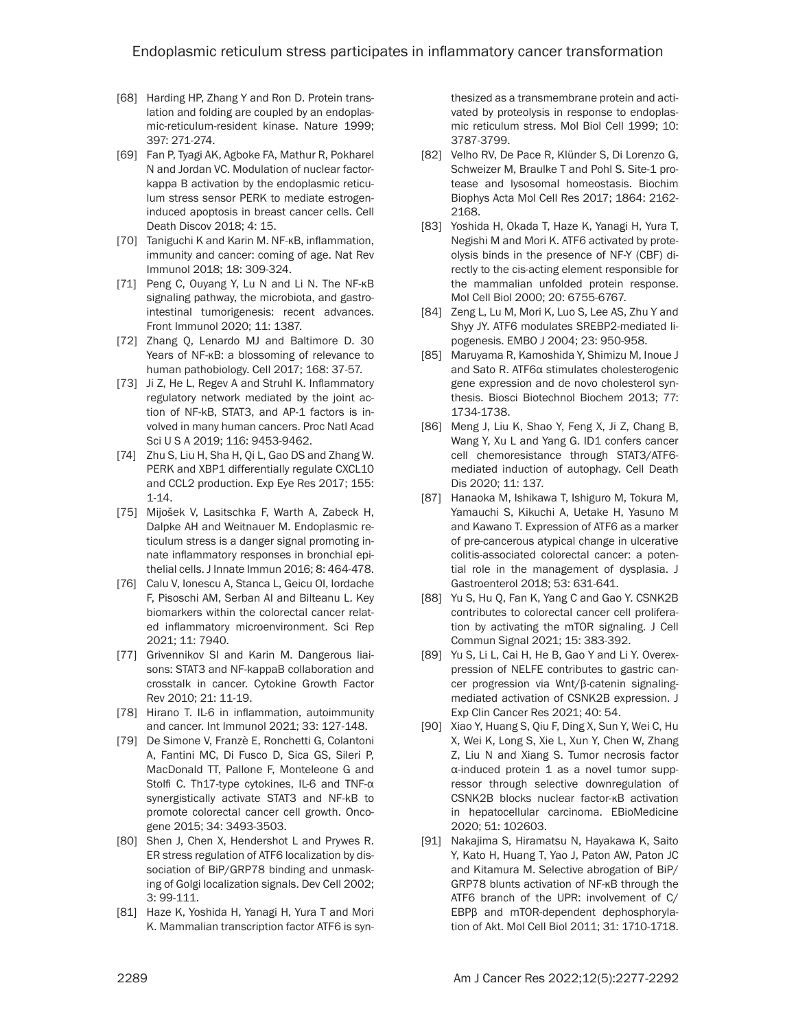- [68] Harding HP, Zhang Y and Ron D. Protein translation and folding are coupled by an endoplasmic-reticulum-resident kinase. Nature 1999; 397: 271-274.
- [69] Fan P, Tyagi AK, Agboke FA, Mathur R, Pokharel N and Jordan VC. Modulation of nuclear factorkappa B activation by the endoplasmic reticulum stress sensor PERK to mediate estrogeninduced apoptosis in breast cancer cells. Cell Death Discov 2018; 4: 15.
- [70] Taniguchi K and Karin M. NF-κB, inflammation, immunity and cancer: coming of age. Nat Rev Immunol 2018; 18: 309-324.
- [71] Peng C, Ouyang Y, Lu N and Li N. The NF-κB signaling pathway, the microbiota, and gastrointestinal tumorigenesis: recent advances. Front Immunol 2020; 11: 1387.
- [72] Zhang Q, Lenardo MJ and Baltimore D. 30 Years of NF-κB: a blossoming of relevance to human pathobiology. Cell 2017; 168: 37-57.
- [73] Ji Z, He L, Regev A and Struhl K. Inflammatory regulatory network mediated by the joint action of NF-kB, STAT3, and AP-1 factors is involved in many human cancers. Proc Natl Acad Sci U S A 2019; 116: 9453-9462.
- [74] Zhu S, Liu H, Sha H, Qi L, Gao DS and Zhang W. PERK and XBP1 differentially regulate CXCL10 and CCL2 production. Exp Eye Res 2017; 155: 1-14.
- [75] Mijošek V, Lasitschka F, Warth A, Zabeck H, Dalpke AH and Weitnauer M. Endoplasmic reticulum stress is a danger signal promoting innate inflammatory responses in bronchial epithelial cells. J Innate Immun 2016; 8: 464-478.
- [76] Calu V, Ionescu A, Stanca L, Geicu OI, Iordache F, Pisoschi AM, Serban AI and Bilteanu L. Key biomarkers within the colorectal cancer related inflammatory microenvironment. Sci Rep 2021; 11: 7940.
- [77] Grivennikov SI and Karin M. Dangerous liaisons: STAT3 and NF-kappaB collaboration and crosstalk in cancer. Cytokine Growth Factor Rev 2010; 21: 11-19.
- [78] Hirano T. IL-6 in inflammation, autoimmunity and cancer. Int Immunol 2021; 33: 127-148.
- [79] De Simone V, Franzè E, Ronchetti G, Colantoni A, Fantini MC, Di Fusco D, Sica GS, Sileri P, MacDonald TT, Pallone F, Monteleone G and Stolfi C. Th17-type cytokines, IL-6 and TNF-α synergistically activate STAT3 and NF-kB to promote colorectal cancer cell growth. Oncogene 2015; 34: 3493-3503.
- [80] Shen J, Chen X, Hendershot L and Prywes R. ER stress regulation of ATF6 localization by dissociation of BiP/GRP78 binding and unmasking of Golgi localization signals. Dev Cell 2002; 3: 99-111.
- [81] Haze K, Yoshida H, Yanagi H, Yura T and Mori K. Mammalian transcription factor ATF6 is syn-

thesized as a transmembrane protein and activated by proteolysis in response to endoplasmic reticulum stress. Mol Biol Cell 1999; 10: 3787-3799.

- [82] Velho RV, De Pace R, Klünder S, Di Lorenzo G, Schweizer M, Braulke T and Pohl S. Site-1 protease and lysosomal homeostasis. Biochim Biophys Acta Mol Cell Res 2017; 1864: 2162- 2168.
- [83] Yoshida H, Okada T, Haze K, Yanagi H, Yura T, Negishi M and Mori K. ATF6 activated by proteolysis binds in the presence of NF-Y (CBF) directly to the cis-acting element responsible for the mammalian unfolded protein response. Mol Cell Biol 2000; 20: 6755-6767.
- [84] Zeng L, Lu M, Mori K, Luo S, Lee AS, Zhu Y and Shyy JY. ATF6 modulates SREBP2-mediated lipogenesis. EMBO J 2004; 23: 950-958.
- [85] Maruyama R, Kamoshida Y, Shimizu M, Inoue J and Sato R. ATF6α stimulates cholesterogenic gene expression and de novo cholesterol synthesis. Biosci Biotechnol Biochem 2013; 77: 1734-1738.
- [86] Meng J, Liu K, Shao Y, Feng X, Ji Z, Chang B, Wang Y, Xu L and Yang G. ID1 confers cancer cell chemoresistance through STAT3/ATF6 mediated induction of autophagy. Cell Death Dis 2020; 11: 137.
- [87] Hanaoka M, Ishikawa T, Ishiguro M, Tokura M, Yamauchi S, Kikuchi A, Uetake H, Yasuno M and Kawano T. Expression of ATF6 as a marker of pre-cancerous atypical change in ulcerative colitis-associated colorectal cancer: a potential role in the management of dysplasia. J Gastroenterol 2018; 53: 631-641.
- [88] Yu S, Hu Q, Fan K, Yang C and Gao Y. CSNK2B contributes to colorectal cancer cell proliferation by activating the mTOR signaling. J Cell Commun Signal 2021; 15: 383-392.
- [89] Yu S, Li L, Cai H, He B, Gao Y and Li Y. Overexpression of NELFE contributes to gastric cancer progression via Wnt/β-catenin signalingmediated activation of CSNK2B expression. J Exp Clin Cancer Res 2021; 40: 54.
- [90] Xiao Y, Huang S, Qiu F, Ding X, Sun Y, Wei C, Hu X, Wei K, Long S, Xie L, Xun Y, Chen W, Zhang Z, Liu N and Xiang S. Tumor necrosis factor α-induced protein 1 as a novel tumor suppressor through selective downregulation of CSNK2B blocks nuclear factor-κB activation in hepatocellular carcinoma. EBioMedicine 2020; 51: 102603.
- [91] Nakajima S, Hiramatsu N, Hayakawa K, Saito Y, Kato H, Huang T, Yao J, Paton AW, Paton JC and Kitamura M. Selective abrogation of BiP/ GRP78 blunts activation of NF-κB through the ATF6 branch of the UPR: involvement of C/ EBPβ and mTOR-dependent dephosphorylation of Akt. Mol Cell Biol 2011; 31: 1710-1718.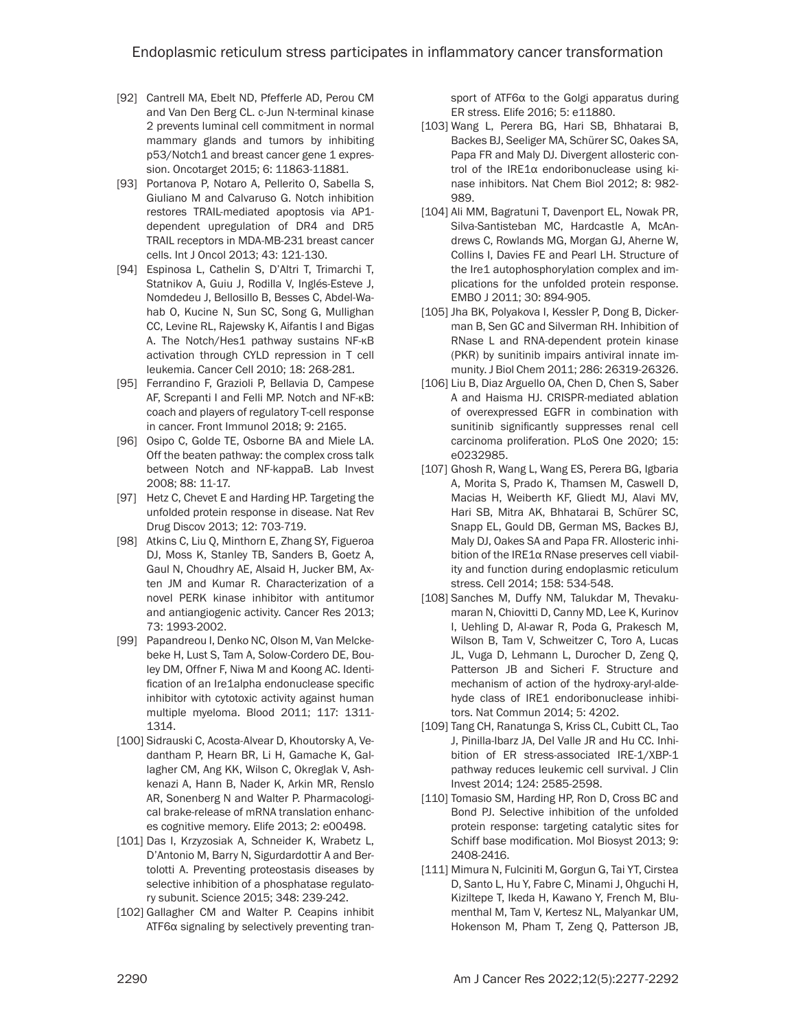- [92] Cantrell MA, Ebelt ND, Pfefferle AD, Perou CM and Van Den Berg CL. c-Jun N-terminal kinase 2 prevents luminal cell commitment in normal mammary glands and tumors by inhibiting p53/Notch1 and breast cancer gene 1 expression. Oncotarget 2015; 6: 11863-11881.
- [93] Portanova P, Notaro A, Pellerito O, Sabella S, Giuliano M and Calvaruso G. Notch inhibition restores TRAIL-mediated apoptosis via AP1 dependent upregulation of DR4 and DR5 TRAIL receptors in MDA-MB-231 breast cancer cells. Int J Oncol 2013; 43: 121-130.
- [94] Espinosa L, Cathelin S, D'Altri T, Trimarchi T, Statnikov A, Guiu J, Rodilla V, Inglés-Esteve J, Nomdedeu J, Bellosillo B, Besses C, Abdel-Wahab O, Kucine N, Sun SC, Song G, Mullighan CC, Levine RL, Rajewsky K, Aifantis I and Bigas A. The Notch/Hes1 pathway sustains NF-κB activation through CYLD repression in T cell leukemia. Cancer Cell 2010; 18: 268-281.
- [95] Ferrandino F, Grazioli P, Bellavia D, Campese AF, Screpanti I and Felli MP. Notch and NF-κB: coach and players of regulatory T-cell response in cancer. Front Immunol 2018; 9: 2165.
- [96] Osipo C, Golde TE, Osborne BA and Miele LA. Off the beaten pathway: the complex cross talk between Notch and NF-kappaB. Lab Invest 2008; 88: 11-17.
- [97] Hetz C, Chevet E and Harding HP. Targeting the unfolded protein response in disease. Nat Rev Drug Discov 2013; 12: 703-719.
- [98] Atkins C, Liu Q, Minthorn E, Zhang SY, Figueroa DJ, Moss K, Stanley TB, Sanders B, Goetz A, Gaul N, Choudhry AE, Alsaid H, Jucker BM, Axten JM and Kumar R. Characterization of a novel PERK kinase inhibitor with antitumor and antiangiogenic activity. Cancer Res 2013; 73: 1993-2002.
- [99] Papandreou I, Denko NC, Olson M, Van Melckebeke H, Lust S, Tam A, Solow-Cordero DE, Bouley DM, Offner F, Niwa M and Koong AC. Identification of an Ire1alpha endonuclease specific inhibitor with cytotoxic activity against human multiple myeloma. Blood 2011; 117: 1311- 1314.
- [100] Sidrauski C, Acosta-Alvear D, Khoutorsky A, Vedantham P, Hearn BR, Li H, Gamache K, Gallagher CM, Ang KK, Wilson C, Okreglak V, Ashkenazi A, Hann B, Nader K, Arkin MR, Renslo AR, Sonenberg N and Walter P. Pharmacological brake-release of mRNA translation enhances cognitive memory. Elife 2013; 2: e00498.
- [101] Das I, Krzyzosiak A, Schneider K, Wrabetz L, D'Antonio M, Barry N, Sigurdardottir A and Bertolotti A. Preventing proteostasis diseases by selective inhibition of a phosphatase regulatory subunit. Science 2015; 348: 239-242.
- [102] Gallagher CM and Walter P. Ceapins inhibit ATF6α signaling by selectively preventing tran-

sport of ATF6α to the Golgi apparatus during ER stress. Elife 2016; 5: e11880.

- [103] Wang L, Perera BG, Hari SB, Bhhatarai B, Backes BJ, Seeliger MA, Schürer SC, Oakes SA, Papa FR and Maly DJ. Divergent allosteric control of the IRE1α endoribonuclease using kinase inhibitors. Nat Chem Biol 2012; 8: 982- 989.
- [104] Ali MM, Bagratuni T, Davenport EL, Nowak PR, Silva-Santisteban MC, Hardcastle A, McAndrews C, Rowlands MG, Morgan GJ, Aherne W, Collins I, Davies FE and Pearl LH. Structure of the Ire1 autophosphorylation complex and implications for the unfolded protein response. EMBO J 2011; 30: 894-905.
- [105] Jha BK, Polyakova I, Kessler P, Dong B, Dickerman B, Sen GC and Silverman RH. Inhibition of RNase L and RNA-dependent protein kinase (PKR) by sunitinib impairs antiviral innate immunity. J Biol Chem 2011; 286: 26319-26326.
- [106] Liu B, Diaz Arguello OA, Chen D, Chen S, Saber A and Haisma HJ. CRISPR-mediated ablation of overexpressed EGFR in combination with sunitinib significantly suppresses renal cell carcinoma proliferation. PLoS One 2020; 15: e0232985.
- [107] Ghosh R, Wang L, Wang ES, Perera BG, Igbaria A, Morita S, Prado K, Thamsen M, Caswell D, Macias H, Weiberth KF, Gliedt MJ, Alavi MV, Hari SB, Mitra AK, Bhhatarai B, Schürer SC, Snapp EL, Gould DB, German MS, Backes BJ, Maly DJ, Oakes SA and Papa FR. Allosteric inhibition of the IRE1α RNase preserves cell viability and function during endoplasmic reticulum stress. Cell 2014; 158: 534-548.
- [108] Sanches M, Duffy NM, Talukdar M, Thevakumaran N, Chiovitti D, Canny MD, Lee K, Kurinov I, Uehling D, Al-awar R, Poda G, Prakesch M, Wilson B, Tam V, Schweitzer C, Toro A, Lucas JL, Vuga D, Lehmann L, Durocher D, Zeng Q, Patterson JB and Sicheri F. Structure and mechanism of action of the hydroxy-aryl-aldehyde class of IRE1 endoribonuclease inhibitors. Nat Commun 2014; 5: 4202.
- [109] Tang CH, Ranatunga S, Kriss CL, Cubitt CL, Tao J, Pinilla-Ibarz JA, Del Valle JR and Hu CC. Inhibition of ER stress-associated IRE-1/XBP-1 pathway reduces leukemic cell survival. J Clin Invest 2014; 124: 2585-2598.
- [110] Tomasio SM, Harding HP, Ron D, Cross BC and Bond PJ. Selective inhibition of the unfolded protein response: targeting catalytic sites for Schiff base modification. Mol Biosyst 2013; 9: 2408-2416.
- [111] Mimura N, Fulciniti M, Gorgun G, Tai YT, Cirstea D, Santo L, Hu Y, Fabre C, Minami J, Ohguchi H, Kiziltepe T, Ikeda H, Kawano Y, French M, Blumenthal M, Tam V, Kertesz NL, Malyankar UM, Hokenson M, Pham T, Zeng Q, Patterson JB,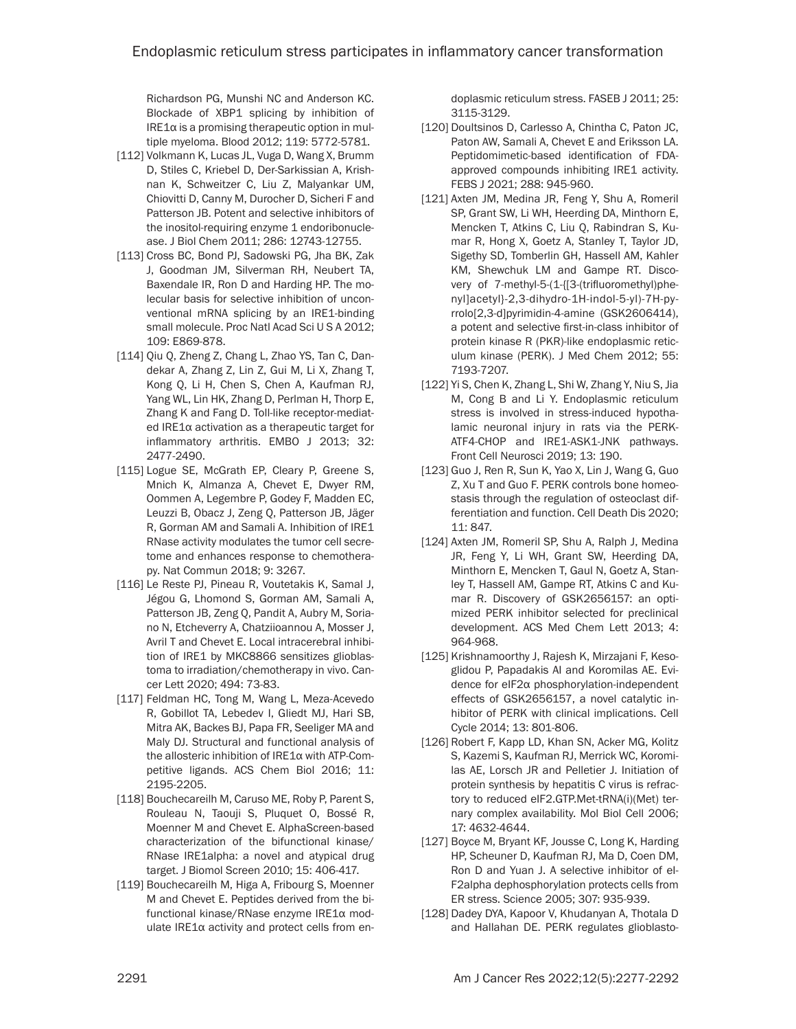Richardson PG, Munshi NC and Anderson KC. Blockade of XBP1 splicing by inhibition of IRE1α is a promising therapeutic option in multiple myeloma. Blood 2012; 119: 5772-5781.

- [112] Volkmann K, Lucas JL, Vuga D, Wang X, Brumm D, Stiles C, Kriebel D, Der-Sarkissian A, Krishnan K, Schweitzer C, Liu Z, Malyankar UM, Chiovitti D, Canny M, Durocher D, Sicheri F and Patterson JB. Potent and selective inhibitors of the inositol-requiring enzyme 1 endoribonuclease. J Biol Chem 2011; 286: 12743-12755.
- [113] Cross BC, Bond PJ, Sadowski PG, Jha BK, Zak J, Goodman JM, Silverman RH, Neubert TA, Baxendale IR, Ron D and Harding HP. The molecular basis for selective inhibition of unconventional mRNA splicing by an IRE1-binding small molecule. Proc Natl Acad Sci U S A 2012; 109: E869-878.
- [114] Qiu Q, Zheng Z, Chang L, Zhao YS, Tan C, Dandekar A, Zhang Z, Lin Z, Gui M, Li X, Zhang T, Kong Q, Li H, Chen S, Chen A, Kaufman RJ, Yang WL, Lin HK, Zhang D, Perlman H, Thorp E, Zhang K and Fang D. Toll-like receptor-mediated IRE1α activation as a therapeutic target for inflammatory arthritis. EMBO J 2013; 32: 2477-2490.
- [115] Logue SE, McGrath EP, Cleary P, Greene S, Mnich K, Almanza A, Chevet E, Dwyer RM, Oommen A, Legembre P, Godey F, Madden EC, Leuzzi B, Obacz J, Zeng Q, Patterson JB, Jäger R, Gorman AM and Samali A. Inhibition of IRE1 RNase activity modulates the tumor cell secretome and enhances response to chemotherapy. Nat Commun 2018; 9: 3267.
- [116] Le Reste PJ, Pineau R, Voutetakis K, Samal J, Jégou G, Lhomond S, Gorman AM, Samali A, Patterson JB, Zeng Q, Pandit A, Aubry M, Soriano N, Etcheverry A, Chatziioannou A, Mosser J, Avril T and Chevet E. Local intracerebral inhibition of IRE1 by MKC8866 sensitizes glioblastoma to irradiation/chemotherapy in vivo. Cancer Lett 2020; 494: 73-83.
- [117] Feldman HC, Tong M, Wang L, Meza-Acevedo R, Gobillot TA, Lebedev I, Gliedt MJ, Hari SB, Mitra AK, Backes BJ, Papa FR, Seeliger MA and Maly DJ. Structural and functional analysis of the allosteric inhibition of IRE1α with ATP-Competitive ligands. ACS Chem Biol 2016; 11: 2195-2205.
- [118] Bouchecareilh M, Caruso ME, Roby P, Parent S, Rouleau N, Taouji S, Pluquet O, Bossé R, Moenner M and Chevet E. AlphaScreen-based characterization of the bifunctional kinase/ RNase IRE1alpha: a novel and atypical drug target. J Biomol Screen 2010; 15: 406-417.
- [119] Bouchecareilh M, Higa A, Fribourg S, Moenner M and Chevet E. Peptides derived from the bifunctional kinase/RNase enzyme IRE1α modulate IRE1α activity and protect cells from en-

doplasmic reticulum stress. FASEB J 2011; 25: 3115-3129.

- [120] Doultsinos D, Carlesso A, Chintha C, Paton JC, Paton AW, Samali A, Chevet E and Eriksson LA. Peptidomimetic-based identification of FDAapproved compounds inhibiting IRE1 activity. FEBS J 2021; 288: 945-960.
- [121] Axten JM, Medina JR, Feng Y, Shu A, Romeril SP, Grant SW, Li WH, Heerding DA, Minthorn E, Mencken T, Atkins C, Liu Q, Rabindran S, Kumar R, Hong X, Goetz A, Stanley T, Taylor JD, Sigethy SD, Tomberlin GH, Hassell AM, Kahler KM, Shewchuk LM and Gampe RT. Discovery of 7-methyl-5-(1-{[3-(trifluoromethyl)phenyl]acetyl}-2,3-dihydro-1H-indol-5-yl)-7H-pyrrolo[2,3-d]pyrimidin-4-amine (GSK2606414), a potent and selective first-in-class inhibitor of protein kinase R (PKR)-like endoplasmic reticulum kinase (PERK). J Med Chem 2012; 55: 7193-7207.
- [122] Yi S, Chen K, Zhang L, Shi W, Zhang Y, Niu S, Jia M, Cong B and Li Y. Endoplasmic reticulum stress is involved in stress-induced hypothalamic neuronal injury in rats via the PERK-ATF4-CHOP and IRE1-ASK1-JNK pathways. Front Cell Neurosci 2019; 13: 190.
- [123] Guo J, Ren R, Sun K, Yao X, Lin J, Wang G, Guo Z, Xu T and Guo F. PERK controls bone homeostasis through the regulation of osteoclast differentiation and function. Cell Death Dis 2020; 11: 847.
- [124] Axten JM, Romeril SP, Shu A, Ralph J, Medina JR, Feng Y, Li WH, Grant SW, Heerding DA, Minthorn E, Mencken T, Gaul N, Goetz A, Stanley T, Hassell AM, Gampe RT, Atkins C and Kumar R. Discovery of GSK2656157: an optimized PERK inhibitor selected for preclinical development. ACS Med Chem Lett 2013; 4: 964-968.
- [125] Krishnamoorthy J, Rajesh K, Mirzajani F, Kesoglidou P, Papadakis AI and Koromilas AE. Evidence for eIF2α phosphorylation-independent effects of GSK2656157, a novel catalytic inhibitor of PERK with clinical implications. Cell Cycle 2014; 13: 801-806.
- [126] Robert F, Kapp LD, Khan SN, Acker MG, Kolitz S, Kazemi S, Kaufman RJ, Merrick WC, Koromilas AE, Lorsch JR and Pelletier J. Initiation of protein synthesis by hepatitis C virus is refractory to reduced eIF2.GTP.Met-tRNA(i)(Met) ternary complex availability. Mol Biol Cell 2006; 17: 4632-4644.
- [127] Boyce M, Bryant KF, Jousse C, Long K, Harding HP, Scheuner D, Kaufman RJ, Ma D, Coen DM, Ron D and Yuan J. A selective inhibitor of eI-F2alpha dephosphorylation protects cells from ER stress. Science 2005; 307: 935-939.
- [128] Dadey DYA, Kapoor V, Khudanyan A, Thotala D and Hallahan DE. PERK regulates glioblasto-